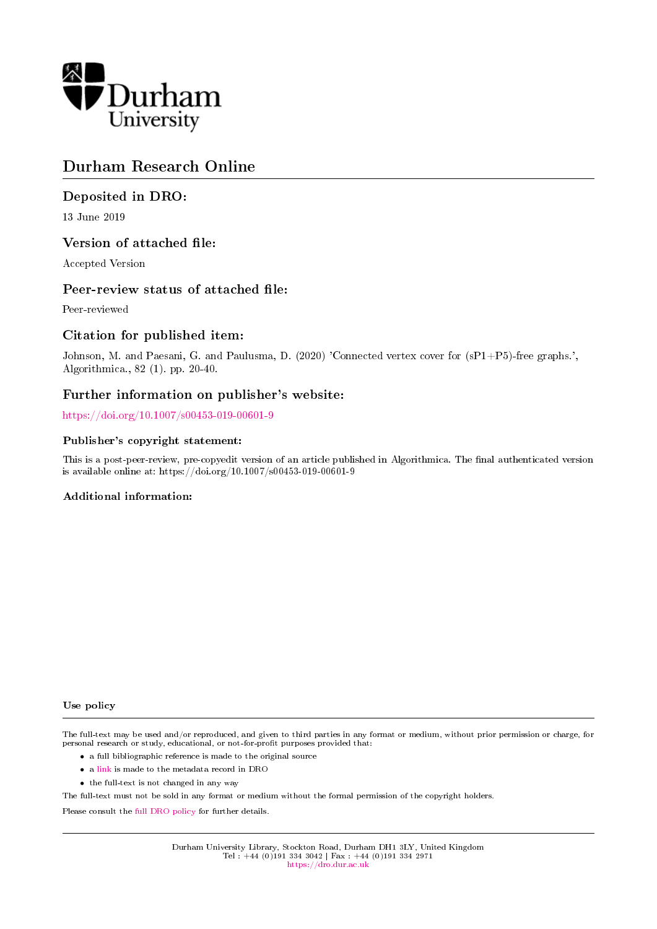

# Durham Research Online

# Deposited in DRO:

13 June 2019

# Version of attached file:

Accepted Version

# Peer-review status of attached file:

Peer-reviewed

# Citation for published item:

Johnson, M. and Paesani, G. and Paulusma, D. (2020) 'Connected vertex cover for (sP1+P5)-free graphs.', Algorithmica., 82 (1). pp. 20-40.

# Further information on publisher's website:

<https://doi.org/10.1007/s00453-019-00601-9>

# Publisher's copyright statement:

This is a post-peer-review, pre-copyedit version of an article published in Algorithmica. The final authenticated version is available online at: https://doi.org/10.1007/s00453-019-00601-9

# Additional information:

### Use policy

The full-text may be used and/or reproduced, and given to third parties in any format or medium, without prior permission or charge, for personal research or study, educational, or not-for-profit purposes provided that:

- a full bibliographic reference is made to the original source
- a [link](http://dro.dur.ac.uk/28406/) is made to the metadata record in DRO
- the full-text is not changed in any way

The full-text must not be sold in any format or medium without the formal permission of the copyright holders.

Please consult the [full DRO policy](https://dro.dur.ac.uk/policies/usepolicy.pdf) for further details.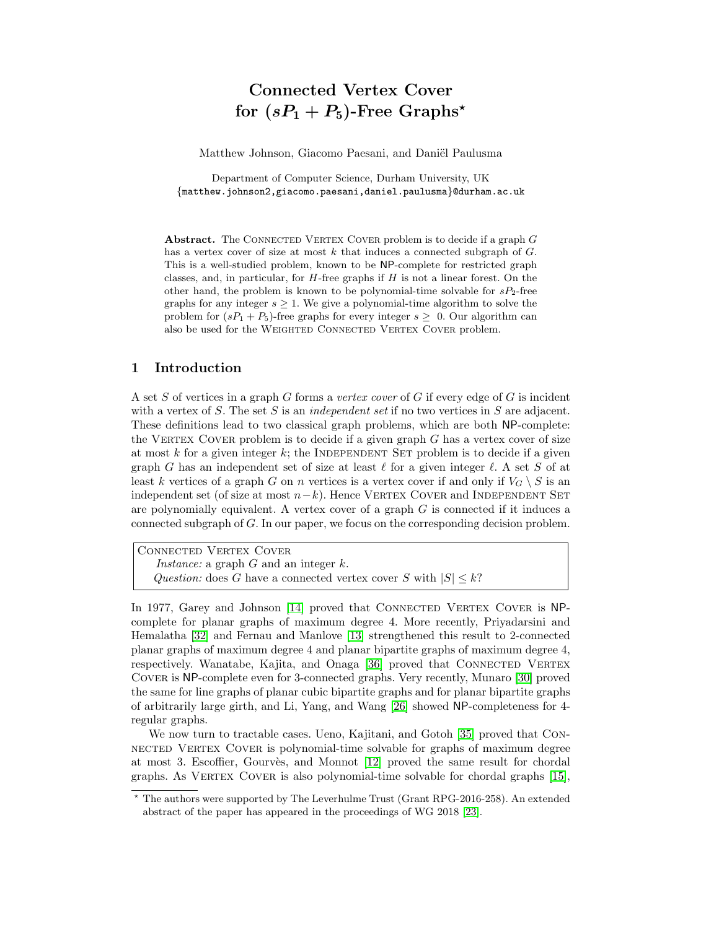# Connected Vertex Cover for  $(sP_1 + P_5)$ -Free Graphs<sup>\*</sup>

Matthew Johnson, Giacomo Paesani, and Daniël Paulusma

Department of Computer Science, Durham University, UK {matthew.johnson2,giacomo.paesani,daniel.paulusma}@durham.ac.uk

Abstract. The CONNECTED VERTEX COVER problem is to decide if a graph  $G$ has a vertex cover of size at most  $k$  that induces a connected subgraph of  $G$ . This is a well-studied problem, known to be NP-complete for restricted graph classes, and, in particular, for  $H$ -free graphs if  $H$  is not a linear forest. On the other hand, the problem is known to be polynomial-time solvable for  $sP_2$ -free graphs for any integer  $s \geq 1$ . We give a polynomial-time algorithm to solve the problem for  $(sP_1 + P_5)$ -free graphs for every integer  $s \geq 0$ . Our algorithm can also be used for the WEIGHTED CONNECTED VERTEX COVER problem.

## 1 Introduction

A set S of vertices in a graph G forms a vertex cover of G if every edge of G is incident with a vertex of S. The set S is an independent set if no two vertices in S are adjacent. These definitions lead to two classical graph problems, which are both NP-complete: the VERTEX COVER problem is to decide if a given graph  $G$  has a vertex cover of size at most  $k$  for a given integer  $k$ ; the INDEPENDENT SET problem is to decide if a given graph G has an independent set of size at least  $\ell$  for a given integer  $\ell$ . A set S of at least k vertices of a graph G on n vertices is a vertex cover if and only if  $V_G \setminus S$  is an independent set (of size at most  $n-k$ ). Hence VERTEX COVER and INDEPENDENT SET are polynomially equivalent. A vertex cover of a graph  $G$  is connected if it induces a connected subgraph of G. In our paper, we focus on the corresponding decision problem.

Connected Vertex Cover Instance: a graph  $G$  and an integer  $k$ . Question: does G have a connected vertex cover S with  $|S| \leq k$ ?

In 1977, Garey and Johnson [\[14\]](#page-18-0) proved that CONNECTED VERTEX COVER is NPcomplete for planar graphs of maximum degree 4. More recently, Priyadarsini and Hemalatha [\[32\]](#page-19-0) and Fernau and Manlove [\[13\]](#page-18-1) strengthened this result to 2-connected planar graphs of maximum degree 4 and planar bipartite graphs of maximum degree 4, respectively. Wanatabe, Kajita, and Onaga [\[36\]](#page-19-1) proved that CONNECTED VERTEX Cover is NP-complete even for 3-connected graphs. Very recently, Munaro [\[30\]](#page-18-2) proved the same for line graphs of planar cubic bipartite graphs and for planar bipartite graphs of arbitrarily large girth, and Li, Yang, and Wang [\[26\]](#page-18-3) showed NP-completeness for 4 regular graphs.

We now turn to tractable cases. Ueno, Kajitani, and Gotoh [\[35\]](#page-19-2) proved that Connected Vertex Cover is polynomial-time solvable for graphs of maximum degree at most 3. Escoffier, Gourvès, and Monnot [\[12\]](#page-18-4) proved the same result for chordal graphs. As VERTEX COVER is also polynomial-time solvable for chordal graphs [\[15\]](#page-18-5),

<sup>?</sup> The authors were supported by The Leverhulme Trust (Grant RPG-2016-258). An extended abstract of the paper has appeared in the proceedings of WG 2018 [\[23\]](#page-18-6).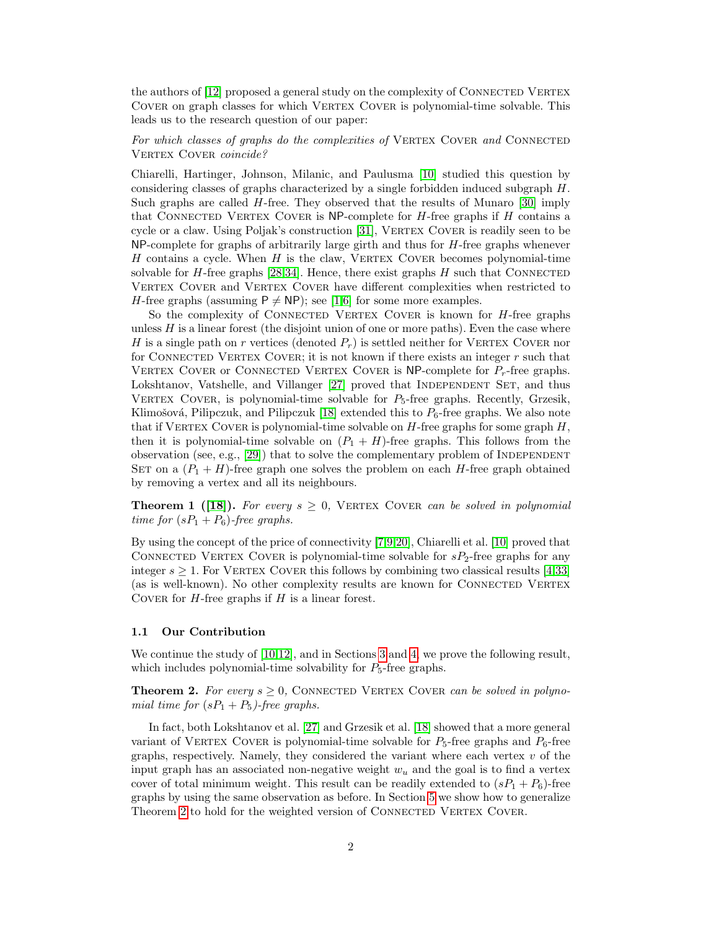the authors of  $|12|$  proposed a general study on the complexity of CONNECTED VERTEX COVER on graph classes for which VERTEX COVER is polynomial-time solvable. This leads us to the research question of our paper:

For which classes of graphs do the complexities of VERTEX COVER and CONNECTED VERTEX COVER coincide?

Chiarelli, Hartinger, Johnson, Milanic, and Paulusma [\[10\]](#page-18-7) studied this question by considering classes of graphs characterized by a single forbidden induced subgraph H. Such graphs are called  $H$ -free. They observed that the results of Munaro [\[30\]](#page-18-2) imply that CONNECTED VERTEX COVER is NP-complete for  $H$ -free graphs if  $H$  contains a cycle or a claw. Using Poljak's construction [\[31\]](#page-18-8), VERTEX COVER is readily seen to be NP-complete for graphs of arbitrarily large girth and thus for H-free graphs whenever  $H$  contains a cycle. When  $H$  is the claw, VERTEX COVER becomes polynomial-time solvable for  $H$ -free graphs [\[28,](#page-18-9)[34\]](#page-19-3). Hence, there exist graphs  $H$  such that CONNECTED VERTEX COVER and VERTEX COVER have different complexities when restricted to *H*-free graphs (assuming  $P \neq NP$ ); see [\[1](#page-17-0)[,6\]](#page-18-10) for some more examples.

So the complexity of CONNECTED VERTEX COVER is known for *H*-free graphs unless  $H$  is a linear forest (the disjoint union of one or more paths). Even the case where H is a single path on r vertices (denoted  $P_r$ ) is settled neither for VERTEX COVER nor for CONNECTED VERTEX COVER; it is not known if there exists an integer  $r$  such that VERTEX COVER or CONNECTED VERTEX COVER is NP-complete for  $P<sub>r</sub>$ -free graphs. Lokshtanov, Vatshelle, and Villanger [\[27\]](#page-18-11) proved that INDEPENDENT SET, and thus VERTEX COVER, is polynomial-time solvable for  $P_5$ -free graphs. Recently, Grzesik, Klimošová, Pilipczuk, and Pilipczuk [\[18\]](#page-18-12) extended this to  $P_6$ -free graphs. We also note that if VERTEX COVER is polynomial-time solvable on  $H$ -free graphs for some graph  $H$ , then it is polynomial-time solvable on  $(P_1 + H)$ -free graphs. This follows from the observation (see, e.g.,  $[29]$ ) that to solve the complementary problem of INDEPENDENT SET on a  $(P_1 + H)$ -free graph one solves the problem on each H-free graph obtained by removing a vertex and all its neighbours.

<span id="page-2-1"></span>**Theorem 1 ([\[18\]](#page-18-12)).** For every  $s \geq 0$ , VERTEX COVER can be solved in polynomial time for  $(sP_1 + P_6)$ -free graphs.

By using the concept of the price of connectivity [\[7,](#page-18-14)[9,](#page-18-15)[20\]](#page-18-16), Chiarelli et al. [\[10\]](#page-18-7) proved that CONNECTED VERTEX COVER is polynomial-time solvable for  $sP_2$ -free graphs for any integer  $s \geq 1$ . For VERTEX COVER this follows by combining two classical results [\[4](#page-17-1)[,33\]](#page-19-4) (as is well-known). No other complexity results are known for CONNECTED VERTEX COVER for  $H$ -free graphs if  $H$  is a linear forest.

#### 1.1 Our Contribution

We continue the study of [\[10](#page-18-7)[,12\]](#page-18-4), and in Sections [3](#page-5-0) and [4,](#page-13-0) we prove the following result, which includes polynomial-time solvability for  $P_5$ -free graphs.

<span id="page-2-0"></span>**Theorem 2.** For every  $s \geq 0$ , CONNECTED VERTEX COVER can be solved in polynomial time for  $(sP_1 + P_5)$ -free graphs.

In fact, both Lokshtanov et al. [\[27\]](#page-18-11) and Grzesik et al. [\[18\]](#page-18-12) showed that a more general variant of VERTEX COVER is polynomial-time solvable for  $P_5$ -free graphs and  $P_6$ -free graphs, respectively. Namely, they considered the variant where each vertex  $v$  of the input graph has an associated non-negative weight  $w_u$  and the goal is to find a vertex cover of total minimum weight. This result can be readily extended to  $(sP_1 + P_6)$ -free graphs by using the same observation as before. In Section [5](#page-16-0) we show how to generalize Theorem [2](#page-2-0) to hold for the weighted version of CONNECTED VERTEX COVER.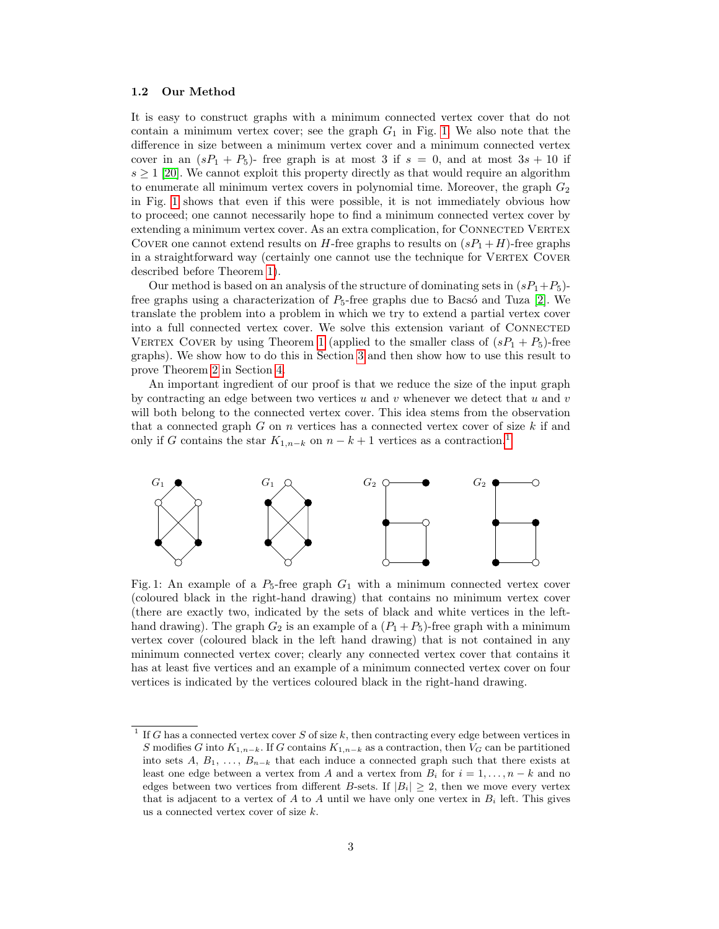#### 1.2 Our Method

It is easy to construct graphs with a minimum connected vertex cover that do not contain a minimum vertex cover; see the graph  $G_1$  in Fig. [1.](#page-3-0) We also note that the difference in size between a minimum vertex cover and a minimum connected vertex cover in an  $(sP_1 + P_5)$ - free graph is at most 3 if  $s = 0$ , and at most  $3s + 10$  if  $s \geq 1$  [\[20\]](#page-18-16). We cannot exploit this property directly as that would require an algorithm to enumerate all minimum vertex covers in polynomial time. Moreover, the graph  $G_2$ in Fig. [1](#page-3-0) shows that even if this were possible, it is not immediately obvious how to proceed; one cannot necessarily hope to find a minimum connected vertex cover by extending a minimum vertex cover. As an extra complication, for CONNECTED VERTEX COVER one cannot extend results on H-free graphs to results on  $(sP_1 + H)$ -free graphs in a straightforward way (certainly one cannot use the technique for VERTEX COVER described before Theorem [1\)](#page-2-1).

Our method is based on an analysis of the structure of dominating sets in  $(sP_1+P_5)$ free graphs using a characterization of  $P_5$ -free graphs due to Bacsó and Tuza [\[2\]](#page-17-2). We translate the problem into a problem in which we try to extend a partial vertex cover into a full connected vertex cover. We solve this extension variant of Connected VERTEX COVER by using Theorem [1](#page-2-1) (applied to the smaller class of  $(sP_1 + P_5)$ -free graphs). We show how to do this in Section [3](#page-5-0) and then show how to use this result to prove Theorem [2](#page-2-0) in Section [4.](#page-13-0)

An important ingredient of our proof is that we reduce the size of the input graph by contracting an edge between two vertices  $u$  and  $v$  whenever we detect that  $u$  and  $v$ will both belong to the connected vertex cover. This idea stems from the observation that a connected graph  $G$  on  $n$  vertices has a connected vertex cover of size  $k$  if and only if G contains the star  $K_{1,n-k}$  $K_{1,n-k}$  $K_{1,n-k}$  on  $n-k+1$  vertices as a contraction.<sup>1</sup>

<span id="page-3-0"></span>

Fig. 1: An example of a  $P_5$ -free graph  $G_1$  with a minimum connected vertex cover (coloured black in the right-hand drawing) that contains no minimum vertex cover (there are exactly two, indicated by the sets of black and white vertices in the lefthand drawing). The graph  $G_2$  is an example of a  $(P_1 + P_5)$ -free graph with a minimum vertex cover (coloured black in the left hand drawing) that is not contained in any minimum connected vertex cover; clearly any connected vertex cover that contains it has at least five vertices and an example of a minimum connected vertex cover on four vertices is indicated by the vertices coloured black in the right-hand drawing.

<span id="page-3-1"></span><sup>&</sup>lt;sup>1</sup> If G has a connected vertex cover S of size k, then contracting every edge between vertices in S modifies G into  $K_{1,n-k}$ . If G contains  $K_{1,n-k}$  as a contraction, then  $V_G$  can be partitioned into sets A,  $B_1, \ldots, B_{n-k}$  that each induce a connected graph such that there exists at least one edge between a vertex from A and a vertex from  $B_i$  for  $i = 1, \ldots, n - k$  and no edges between two vertices from different B-sets. If  $|B_i| \geq 2$ , then we move every vertex that is adjacent to a vertex of  $A$  to  $A$  until we have only one vertex in  $B_i$  left. This gives us a connected vertex cover of size k.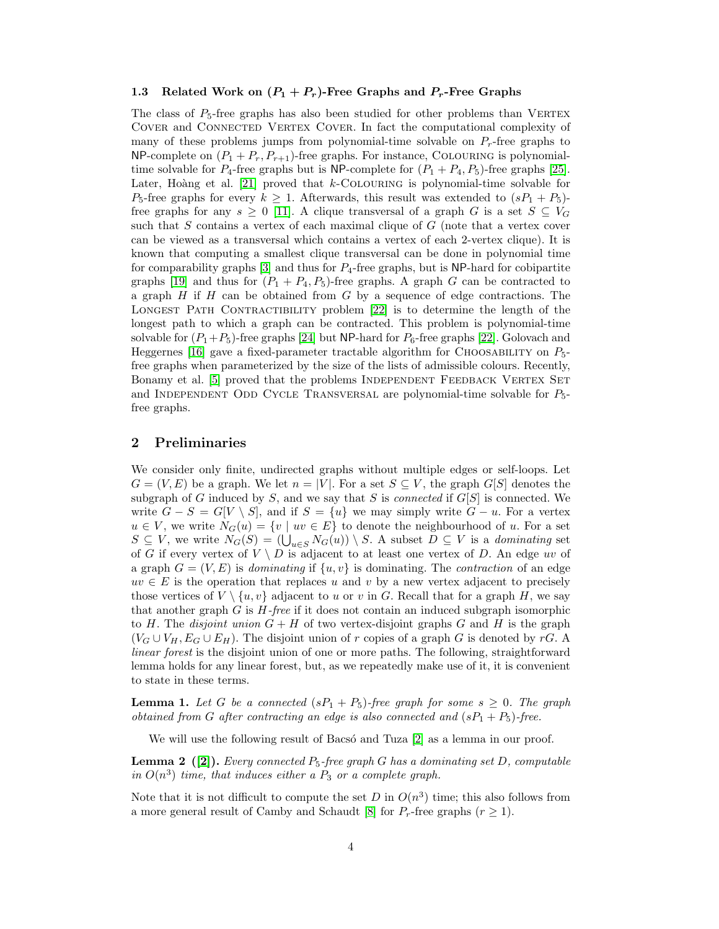#### 1.3 Related Work on  $(P_1 + P_r)$ -Free Graphs and  $P_r$ -Free Graphs

The class of  $P_5$ -free graphs has also been studied for other problems than VERTEX COVER and CONNECTED VERTEX COVER. In fact the computational complexity of many of these problems jumps from polynomial-time solvable on  $P_r$ -free graphs to NP-complete on  $(P_1 + P_r, P_{r+1})$ -free graphs. For instance, COLOURING is polynomialtime solvable for  $P_4$ -free graphs but is NP-complete for  $(P_1 + P_4, P_5)$ -free graphs [\[25\]](#page-18-17). Later, Hoàng et al. [\[21\]](#page-18-18) proved that  $k$ -COLOURING is polynomial-time solvable for  $P_5$ -free graphs for every  $k \geq 1$ . Afterwards, this result was extended to  $(sP_1 + P_5)$ free graphs for any  $s \geq 0$  [\[11\]](#page-18-19). A clique transversal of a graph G is a set  $S \subseteq V_G$ such that  $S$  contains a vertex of each maximal clique of  $G$  (note that a vertex cover can be viewed as a transversal which contains a vertex of each 2-vertex clique). It is known that computing a smallest clique transversal can be done in polynomial time for comparability graphs  $[3]$  and thus for  $P_4$ -free graphs, but is NP-hard for cobipartite graphs [\[19\]](#page-18-20) and thus for  $(P_1 + P_4, P_5)$ -free graphs. A graph G can be contracted to a graph  $H$  if  $H$  can be obtained from  $G$  by a sequence of edge contractions. The LONGEST PATH CONTRACTIBILITY problem [\[22\]](#page-18-21) is to determine the length of the longest path to which a graph can be contracted. This problem is polynomial-time solvable for  $(P_1+P_5)$ -free graphs [\[24\]](#page-18-22) but NP-hard for  $P_6$ -free graphs [\[22\]](#page-18-21). Golovach and Heggernes [\[16\]](#page-18-23) gave a fixed-parameter tractable algorithm for CHOOSABILITY on  $P_5$ free graphs when parameterized by the size of the lists of admissible colours. Recently, Bonamy et al. [\[5\]](#page-17-4) proved that the problems INDEPENDENT FEEDBACK VERTEX SET and INDEPENDENT ODD CYCLE TRANSVERSAL are polynomial-time solvable for  $P_5$ free graphs.

### 2 Preliminaries

We consider only finite, undirected graphs without multiple edges or self-loops. Let  $G = (V, E)$  be a graph. We let  $n = |V|$ . For a set  $S \subseteq V$ , the graph  $G[S]$  denotes the subgraph of G induced by S, and we say that S is *connected* if  $G[S]$  is connected. We write  $G - S = G[V \setminus S]$ , and if  $S = \{u\}$  we may simply write  $G - u$ . For a vertex  $u \in V$ , we write  $N_G(u) = \{v \mid uv \in E\}$  to denote the neighbourhood of u. For a set  $S \subseteq V$ , we write  $N_G(S) = (\bigcup_{u \in S} N_G(u)) \setminus S$ . A subset  $D \subseteq V$  is a dominating set of G if every vertex of  $V \setminus D$  is adjacent to at least one vertex of D. An edge uv of a graph  $G = (V, E)$  is dominating if  $\{u, v\}$  is dominating. The contraction of an edge  $uv \in E$  is the operation that replaces u and v by a new vertex adjacent to precisely those vertices of  $V \setminus \{u, v\}$  adjacent to u or v in G. Recall that for a graph H, we say that another graph  $G$  is  $H$ -free if it does not contain an induced subgraph isomorphic to H. The *disjoint union*  $G + H$  of two vertex-disjoint graphs G and H is the graph  $(V_G \cup V_H, E_G \cup E_H)$ . The disjoint union of r copies of a graph G is denoted by rG. A linear forest is the disjoint union of one or more paths. The following, straightforward lemma holds for any linear forest, but, as we repeatedly make use of it, it is convenient to state in these terms.

<span id="page-4-0"></span>**Lemma 1.** Let G be a connected  $(sP_1 + P_5)$ -free graph for some  $s \geq 0$ . The graph obtained from G after contracting an edge is also connected and  $(sP_1 + P_5)$ -free.

We will use the following result of Bacso and Tuza  $[2]$  as a lemma in our proof.

<span id="page-4-1"></span>**Lemma 2** ([\[2\]](#page-17-2)). Every connected  $P_5$ -free graph G has a dominating set D, computable in  $O(n^3)$  time, that induces either a  $P_3$  or a complete graph.

Note that it is not difficult to compute the set D in  $O(n^3)$  time; this also follows from a more general result of Camby and Schaudt [\[8\]](#page-18-24) for  $P_r$ -free graphs  $(r \geq 1)$ .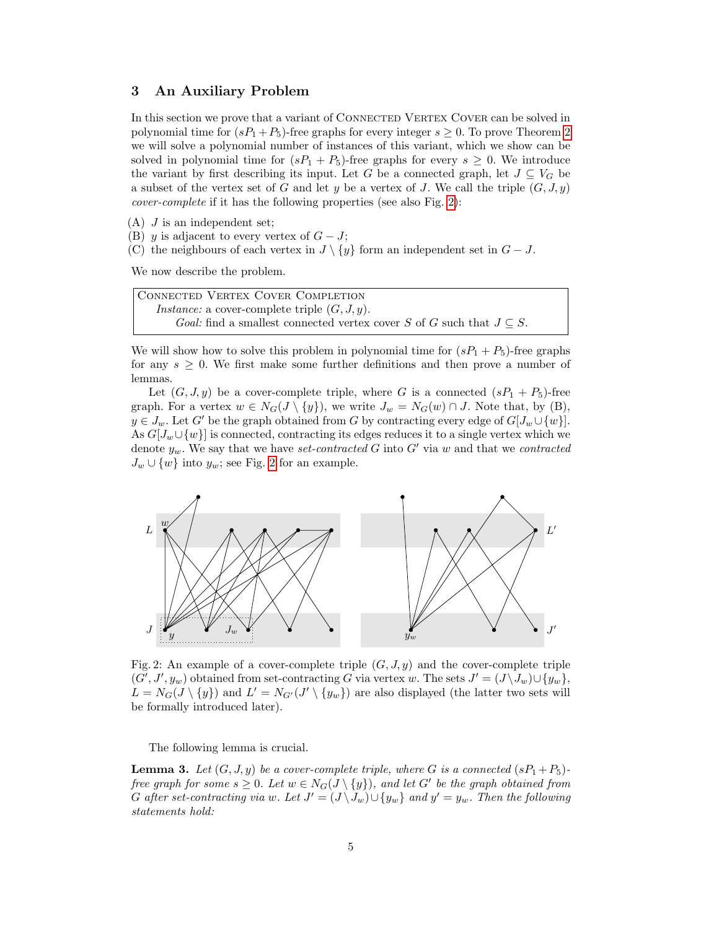### <span id="page-5-0"></span>3 An Auxiliary Problem

In this section we prove that a variant of CONNECTED VERTEX COVER can be solved in polynomial time for  $(sP_1 + P_5)$ -free graphs for every integer  $s \geq 0$ . To prove Theorem [2](#page-2-0) we will solve a polynomial number of instances of this variant, which we show can be solved in polynomial time for  $(sP_1 + P_5)$ -free graphs for every  $s \geq 0$ . We introduce the variant by first describing its input. Let G be a connected graph, let  $J \subseteq V_G$  be a subset of the vertex set of G and let y be a vertex of J. We call the triple  $(G, J, y)$ cover-complete if it has the following properties (see also Fig. [2\)](#page-5-1):

- $(A)$  J is an independent set;
- (B) y is adjacent to every vertex of  $G J$ ;
- (C) the neighbours of each vertex in  $J \setminus \{y\}$  form an independent set in  $G J$ .

We now describe the problem.

Connected Vertex Cover Completion *Instance:* a cover-complete triple  $(G, J, y)$ . Goal: find a smallest connected vertex cover S of G such that  $J \subseteq S$ .

We will show how to solve this problem in polynomial time for  $(sP_1 + P_5)$ -free graphs for any  $s \geq 0$ . We first make some further definitions and then prove a number of lemmas.

Let  $(G, J, y)$  be a cover-complete triple, where G is a connected  $(sP_1 + P_5)$ -free graph. For a vertex  $w \in N_G(J \setminus \{y\})$ , we write  $J_w = N_G(w) \cap J$ . Note that, by (B),  $y \in J_w$ . Let G' be the graph obtained from G by contracting every edge of  $G[J_w \cup \{w\}]$ . As  $G[J_w \cup \{w\}]$  is connected, contracting its edges reduces it to a single vertex which we denote  $y_w$ . We say that we have set-contracted G into G' via w and that we contracted  $J_w \cup \{w\}$  into  $y_w$ ; see Fig. [2](#page-5-1) for an example.

<span id="page-5-1"></span>

Fig. 2: An example of a cover-complete triple  $(G, J, y)$  and the cover-complete triple  $(G', J', y_w)$  obtained from set-contracting G via vertex w. The sets  $J' = (J \setminus J_w) \cup \{y_w\},$  $L = N_G(J \setminus \{y\})$  and  $L' = N_{G'}(J' \setminus \{y_w\})$  are also displayed (the latter two sets will be formally introduced later).

The following lemma is crucial.

<span id="page-5-2"></span>**Lemma 3.** Let  $(G, J, y)$  be a cover-complete triple, where G is a connected  $(sP_1 + P_5)$ free graph for some  $s \geq 0$ . Let  $w \in N_G(J \setminus \{y\})$ , and let G' be the graph obtained from G after set-contracting via w. Let  $J' = (J \setminus J_w) \cup \{y_w\}$  and  $y' = y_w$ . Then the following statements hold: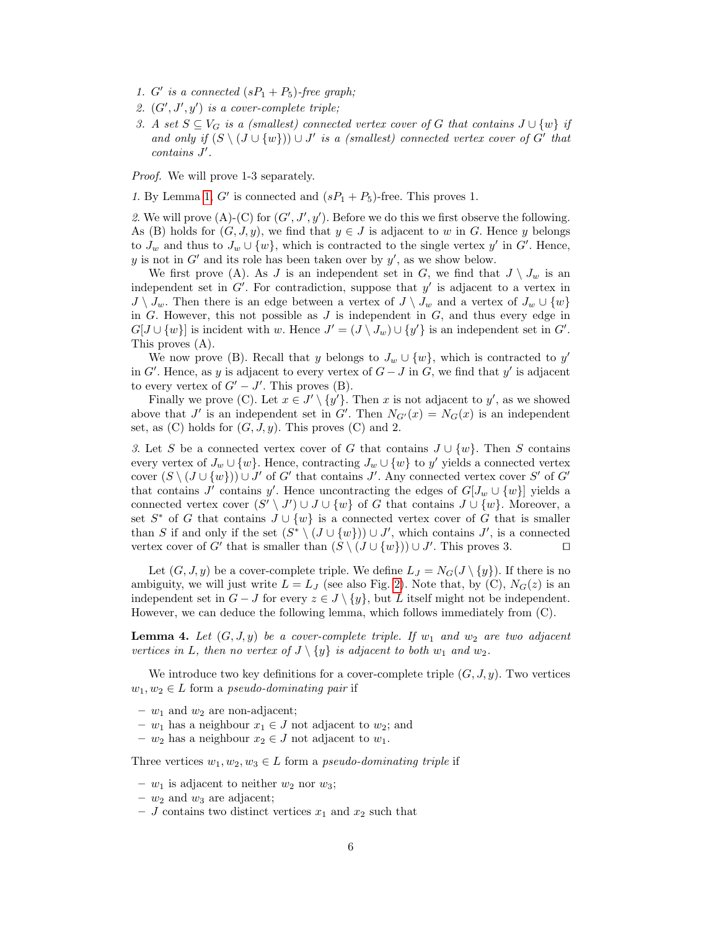- 1. G' is a connected  $(sP_1 + P_5)$ -free graph;
- 2.  $(G', J', y')$  is a cover-complete triple;
- 3. A set  $S \subseteq V_G$  is a (smallest) connected vertex cover of G that contains  $J \cup \{w\}$  if and only if  $(S \setminus (J \cup \{w\})) \cup J'$  is a (smallest) connected vertex cover of G' that  $contains J'.$

Proof. We will prove 1-3 separately.

1. By Lemma [1,](#page-4-0)  $G'$  is connected and  $(sP_1 + P_5)$ -free. This proves 1.

2. We will prove (A)-(C) for  $(G', J', y')$ . Before we do this we first observe the following. As (B) holds for  $(G, J, y)$ , we find that  $y \in J$  is adjacent to w in G. Hence y belongs to  $J_w$  and thus to  $J_w \cup \{w\}$ , which is contracted to the single vertex  $y'$  in  $G'$ . Hence, y is not in  $G'$  and its role has been taken over by  $y'$ , as we show below.

We first prove (A). As J is an independent set in G, we find that  $J \setminus J_w$  is an independent set in  $G'$ . For contradiction, suppose that  $y'$  is adjacent to a vertex in  $J \setminus J_w$ . Then there is an edge between a vertex of  $J \setminus J_w$  and a vertex of  $J_w \cup \{w\}$ in  $G$ . However, this not possible as  $J$  is independent in  $G$ , and thus every edge in  $G[J \cup \{w\}]$  is incident with w. Hence  $J' = (J \setminus J_w) \cup \{y'\}$  is an independent set in  $G'$ . This proves (A).

We now prove (B). Recall that y belongs to  $J_w \cup \{w\}$ , which is contracted to y' in G'. Hence, as y is adjacent to every vertex of  $G-J$  in G, we find that y' is adjacent to every vertex of  $G' - J'$ . This proves (B).

Finally we prove (C). Let  $x \in J' \setminus \{y'\}$ . Then x is not adjacent to y', as we showed above that J' is an independent set in G'. Then  $N_{G'}(x) = N_G(x)$  is an independent set, as  $(C)$  holds for  $(G, J, y)$ . This proves  $(C)$  and 2.

3. Let S be a connected vertex cover of G that contains  $J \cup \{w\}$ . Then S contains every vertex of  $J_w \cup \{w\}$ . Hence, contracting  $J_w \cup \{w\}$  to  $y'$  yields a connected vertex cover  $(S \setminus (J \cup \{w\}) \cup J'$  of G' that contains J'. Any connected vertex cover S' of G' that contains J' contains y'. Hence uncontracting the edges of  $G[J_w \cup \{w\}]$  yields a connected vertex cover  $(S' \setminus J') \cup J \cup \{w\}$  of G that contains  $J \cup \{w\}$ . Moreover, a set  $S^*$  of G that contains  $J \cup \{w\}$  is a connected vertex cover of G that is smaller than S if and only if the set  $(S^* \setminus (J \cup \{w\})) \cup J'$ , which contains J', is a connected vertex cover of G' that is smaller than  $(S \setminus (J \cup \{w\})) \cup J'$ . This proves 3.

Let  $(G, J, y)$  be a cover-complete triple. We define  $L_J = N_G(J \setminus \{y\})$ . If there is no ambiguity, we will just write  $L = L<sub>J</sub>$  (see also Fig. [2\)](#page-5-1). Note that, by (C),  $N<sub>G</sub>(z)$  is an independent set in  $G - J$  for every  $z \in J \setminus \{y\}$ , but L itself might not be independent. However, we can deduce the following lemma, which follows immediately from (C).

<span id="page-6-0"></span>**Lemma 4.** Let  $(G, J, y)$  be a cover-complete triple. If  $w_1$  and  $w_2$  are two adjacent vertices in L, then no vertex of  $J \setminus \{y\}$  is adjacent to both  $w_1$  and  $w_2$ .

We introduce two key definitions for a cover-complete triple  $(G, J, y)$ . Two vertices  $w_1, w_2 \in L$  form a pseudo-dominating pair if

- $w_1$  and  $w_2$  are non-adjacent;
- $w_1$  has a neighbour  $x_1 \in J$  not adjacent to  $w_2$ ; and
- $w_2$  has a neighbour  $x_2 \in J$  not adjacent to  $w_1$ .

Three vertices  $w_1, w_2, w_3 \in L$  form a *pseudo-dominating triple* if

- $w_1$  is adjacent to neither  $w_2$  nor  $w_3$ ;
- $w_2$  and  $w_3$  are adjacent;
- $J$  contains two distinct vertices  $x_1$  and  $x_2$  such that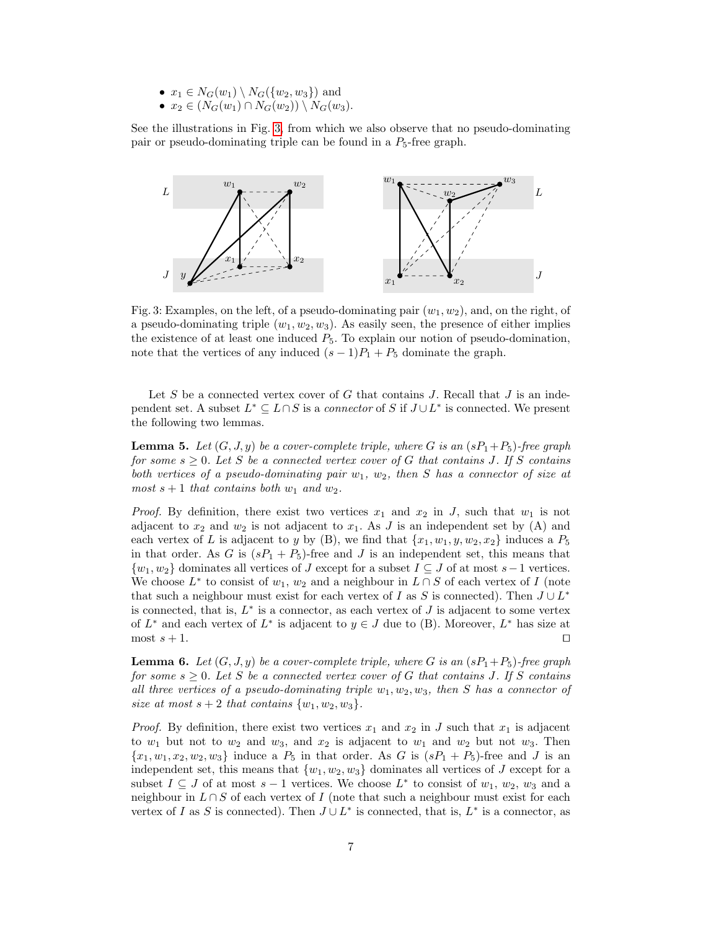- $x_1 \in N_G(w_1) \setminus N_G(\{w_2, w_3\})$  and
- $x_2 \in (N_G(w_1) \cap N_G(w_2)) \setminus N_G(w_3).$

See the illustrations in Fig. [3,](#page-7-0) from which we also observe that no pseudo-dominating pair or pseudo-dominating triple can be found in a  $P_5$ -free graph.

<span id="page-7-0"></span>

Fig. 3: Examples, on the left, of a pseudo-dominating pair  $(w_1, w_2)$ , and, on the right, of a pseudo-dominating triple  $(w_1, w_2, w_3)$ . As easily seen, the presence of either implies the existence of at least one induced  $P_5$ . To explain our notion of pseudo-domination, note that the vertices of any induced  $(s-1)P_1 + P_5$  dominate the graph.

Let S be a connected vertex cover of G that contains J. Recall that J is an independent set. A subset  $L^* \subseteq L \cap S$  is a *connector* of S if  $J \cup L^*$  is connected. We present the following two lemmas.

<span id="page-7-1"></span>**Lemma 5.** Let  $(G, J, y)$  be a cover-complete triple, where G is an  $(sP_1+P_5)$ -free graph for some  $s \geq 0$ . Let S be a connected vertex cover of G that contains J. If S contains both vertices of a pseudo-dominating pair  $w_1, w_2$ , then S has a connector of size at most  $s + 1$  that contains both  $w_1$  and  $w_2$ .

*Proof.* By definition, there exist two vertices  $x_1$  and  $x_2$  in J, such that  $w_1$  is not adjacent to  $x_2$  and  $w_2$  is not adjacent to  $x_1$ . As J is an independent set by (A) and each vertex of L is adjacent to y by (B), we find that  $\{x_1, w_1, y, w_2, x_2\}$  induces a  $P_5$ in that order. As G is  $(sP_1 + P_5)$ -free and J is an independent set, this means that  $\{w_1, w_2\}$  dominates all vertices of J except for a subset  $I \subseteq J$  of at most  $s-1$  vertices. We choose  $L^*$  to consist of  $w_1, w_2$  and a neighbour in  $L \cap S$  of each vertex of I (note that such a neighbour must exist for each vertex of I as S is connected). Then  $J \cup L^*$ is connected, that is,  $L^*$  is a connector, as each vertex of  $J$  is adjacent to some vertex of  $L^*$  and each vertex of  $L^*$  is adjacent to  $y \in J$  due to (B). Moreover,  $L^*$  has size at most  $s + 1$ .

<span id="page-7-2"></span>**Lemma 6.** Let  $(G, J, y)$  be a cover-complete triple, where G is an  $(sP_1+P_5)$ -free graph for some  $s \geq 0$ . Let S be a connected vertex cover of G that contains J. If S contains all three vertices of a pseudo-dominating triple  $w_1, w_2, w_3$ , then S has a connector of size at most  $s + 2$  that contains  $\{w_1, w_2, w_3\}.$ 

*Proof.* By definition, there exist two vertices  $x_1$  and  $x_2$  in J such that  $x_1$  is adjacent to  $w_1$  but not to  $w_2$  and  $w_3$ , and  $x_2$  is adjacent to  $w_1$  and  $w_2$  but not  $w_3$ . Then  ${x_1, w_1, x_2, w_2, w_3}$  induce a  $P_5$  in that order. As G is  $(sP_1 + P_5)$ -free and J is an independent set, this means that  $\{w_1, w_2, w_3\}$  dominates all vertices of J except for a subset  $I \subseteq J$  of at most  $s - 1$  vertices. We choose  $L^*$  to consist of  $w_1, w_2, w_3$  and a neighbour in  $L \cap S$  of each vertex of I (note that such a neighbour must exist for each vertex of I as S is connected). Then  $J \cup L^*$  is connected, that is,  $L^*$  is a connector, as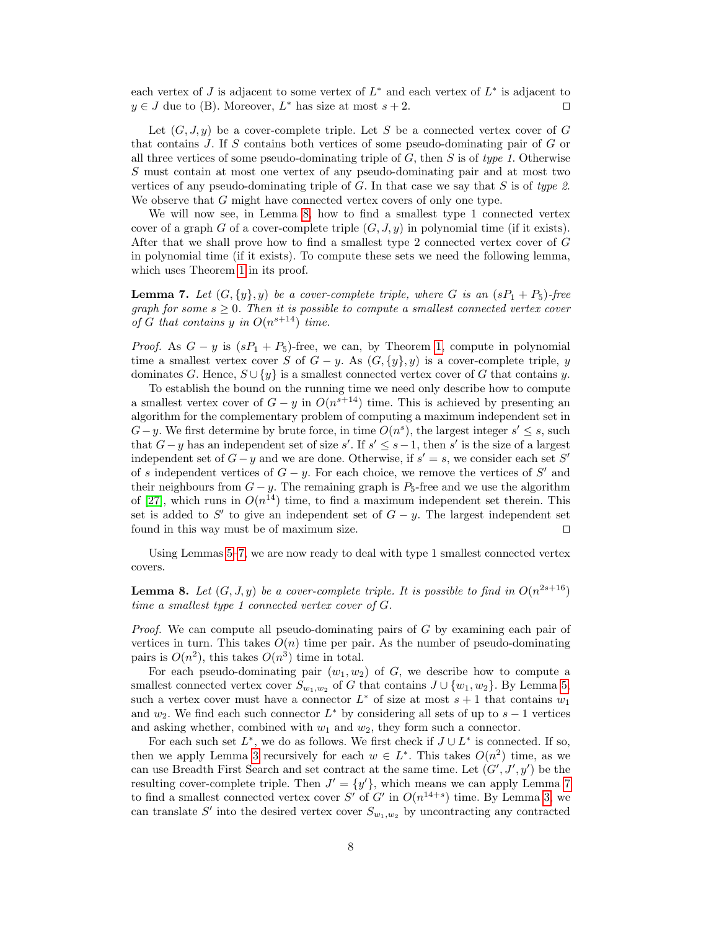each vertex of  $J$  is adjacent to some vertex of  $L^*$  and each vertex of  $L^*$  is adjacent to  $y \in J$  due to (B). Moreover,  $L^*$  has size at most  $s + 2$ .

Let  $(G, J, y)$  be a cover-complete triple. Let S be a connected vertex cover of G that contains J. If S contains both vertices of some pseudo-dominating pair of G or all three vertices of some pseudo-dominating triple of  $G$ , then  $S$  is of type 1. Otherwise S must contain at most one vertex of any pseudo-dominating pair and at most two vertices of any pseudo-dominating triple of  $G$ . In that case we say that  $S$  is of type 2. We observe that G might have connected vertex covers of only one type.

We will now see, in Lemma [8,](#page-8-0) how to find a smallest type 1 connected vertex cover of a graph G of a cover-complete triple  $(G, J, y)$  in polynomial time (if it exists). After that we shall prove how to find a smallest type 2 connected vertex cover of G in polynomial time (if it exists). To compute these sets we need the following lemma, which uses Theorem [1](#page-2-1) in its proof.

<span id="page-8-1"></span>**Lemma 7.** Let  $(G, \{y\}, y)$  be a cover-complete triple, where G is an  $(sP_1 + P_5)$ -free graph for some  $s \geq 0$ . Then it is possible to compute a smallest connected vertex cover of G that contains y in  $O(n^{s+14})$  time.

*Proof.* As  $G - y$  is  $(sP_1 + P_5)$ -free, we can, by Theorem [1,](#page-2-1) compute in polynomial time a smallest vertex cover S of  $G - y$ . As  $(G, \{y\}, y)$  is a cover-complete triple, y dominates G. Hence,  $S \cup \{y\}$  is a smallest connected vertex cover of G that contains y.

To establish the bound on the running time we need only describe how to compute a smallest vertex cover of  $G - y$  in  $O(n^{s+14})$  time. This is achieved by presenting an algorithm for the complementary problem of computing a maximum independent set in  $G-y$ . We first determine by brute force, in time  $O(n^s)$ , the largest integer  $s' \leq s$ , such that  $G-y$  has an independent set of size s'. If  $s' \leq s-1$ , then s' is the size of a largest independent set of  $G - y$  and we are done. Otherwise, if  $s' = s$ , we consider each set S' of s independent vertices of  $G - y$ . For each choice, we remove the vertices of S' and their neighbours from  $G - y$ . The remaining graph is  $P_5$ -free and we use the algorithm of [\[27\]](#page-18-11), which runs in  $O(n^{14})$  time, to find a maximum independent set therein. This set is added to  $S'$  to give an independent set of  $G - y$ . The largest independent set found in this way must be of maximum size.  $\Box$ 

Using Lemmas [5](#page-7-1)[–7,](#page-8-1) we are now ready to deal with type 1 smallest connected vertex covers.

<span id="page-8-0"></span>**Lemma 8.** Let  $(G, J, y)$  be a cover-complete triple. It is possible to find in  $O(n^{2s+16})$ time a smallest type 1 connected vertex cover of G.

Proof. We can compute all pseudo-dominating pairs of G by examining each pair of vertices in turn. This takes  $O(n)$  time per pair. As the number of pseudo-dominating pairs is  $O(n^2)$ , this takes  $O(n^3)$  time in total.

For each pseudo-dominating pair  $(w_1, w_2)$  of G, we describe how to compute a smallest connected vertex cover  $S_{w_1,w_2}$  of G that contains  $J \cup \{w_1,w_2\}$ . By Lemma [5,](#page-7-1) such a vertex cover must have a connector  $L^*$  of size at most  $s + 1$  that contains  $w_1$ and  $w_2$ . We find each such connector  $L^*$  by considering all sets of up to  $s-1$  vertices and asking whether, combined with  $w_1$  and  $w_2$ , they form such a connector.

For each such set  $L^*$ , we do as follows. We first check if  $J \cup L^*$  is connected. If so, then we apply Lemma [3](#page-5-2) recursively for each  $w \in L^*$ . This takes  $O(n^2)$  time, as we can use Breadth First Search and set contract at the same time. Let  $(G', J', y')$  be the resulting cover-complete triple. Then  $J' = \{y'\}$ , which means we can apply Lemma [7](#page-8-1) to find a smallest connected vertex cover S' of G' in  $O(n^{14+s})$  time. By Lemma [3,](#page-5-2) we can translate S' into the desired vertex cover  $S_{w_1,w_2}$  by uncontracting any contracted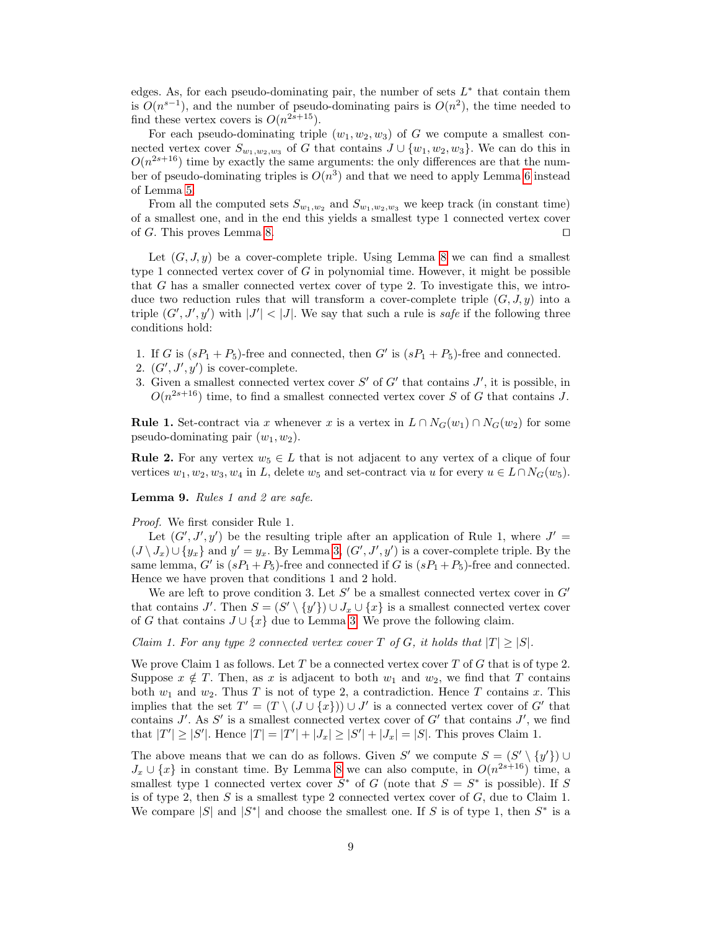edges. As, for each pseudo-dominating pair, the number of sets  $L^*$  that contain them is  $O(n^{s-1})$ , and the number of pseudo-dominating pairs is  $O(n^2)$ , the time needed to find these vertex covers is  $O(n^{2s+15})$ .

For each pseudo-dominating triple  $(w_1, w_2, w_3)$  of G we compute a smallest connected vertex cover  $S_{w_1,w_2,w_3}$  of G that contains  $J \cup \{w_1,w_2,w_3\}$ . We can do this in  $O(n^{2s+16})$  time by exactly the same arguments: the only differences are that the number of pseudo-dominating triples is  $O(n^3)$  and that we need to apply Lemma [6](#page-7-2) instead of Lemma [5.](#page-7-1)

From all the computed sets  $S_{w_1,w_2}$  and  $S_{w_1,w_2,w_3}$  we keep track (in constant time) of a smallest one, and in the end this yields a smallest type 1 connected vertex cover of G. This proves Lemma [8.](#page-8-0)  $\Box$ 

Let  $(G, J, y)$  be a cover-complete triple. Using Lemma [8](#page-8-0) we can find a smallest type 1 connected vertex cover of  $G$  in polynomial time. However, it might be possible that G has a smaller connected vertex cover of type 2. To investigate this, we introduce two reduction rules that will transform a cover-complete triple  $(G, J, y)$  into a triple  $(G', J', y')$  with  $|J'| < |J|$ . We say that such a rule is *safe* if the following three conditions hold:

- 1. If G is  $(sP_1 + P_5)$ -free and connected, then G' is  $(sP_1 + P_5)$ -free and connected.
- 2.  $(G', J', y')$  is cover-complete.
- 3. Given a smallest connected vertex cover  $S'$  of  $G'$  that contains  $J'$ , it is possible, in  $O(n^{2s+16})$  time, to find a smallest connected vertex cover S of G that contains J.

**Rule 1.** Set-contract via x whenever x is a vertex in  $L \cap N_G(w_1) \cap N_G(w_2)$  for some pseudo-dominating pair  $(w_1, w_2)$ .

**Rule 2.** For any vertex  $w_5 \in L$  that is not adjacent to any vertex of a clique of four vertices  $w_1, w_2, w_3, w_4$  in L, delete  $w_5$  and set-contract via u for every  $u \in L \cap N_G(w_5)$ .

<span id="page-9-0"></span>Lemma 9. Rules 1 and 2 are safe.

Proof. We first consider Rule 1.

Let  $(G', J', y')$  be the resulting triple after an application of Rule 1, where  $J' =$  $(J \setminus J_x) \cup \{y_x\}$  and  $y' = y_x$ . By Lemma [3,](#page-5-2)  $(G', J', y')$  is a cover-complete triple. By the same lemma, G' is  $(sP_1+P_5)$ -free and connected if G is  $(sP_1+P_5)$ -free and connected. Hence we have proven that conditions 1 and 2 hold.

We are left to prove condition 3. Let  $S'$  be a smallest connected vertex cover in  $G'$ that contains J'. Then  $S = (S' \setminus \{y'\}) \cup J_x \cup \{x\}$  is a smallest connected vertex cover of G that contains  $J \cup \{x\}$  due to Lemma [3.](#page-5-2) We prove the following claim.

Claim 1. For any type 2 connected vertex cover T of G, it holds that  $|T| \geq |S|$ .

We prove Claim 1 as follows. Let  $T$  be a connected vertex cover  $T$  of  $G$  that is of type 2. Suppose  $x \notin T$ . Then, as x is adjacent to both  $w_1$  and  $w_2$ , we find that T contains both  $w_1$  and  $w_2$ . Thus T is not of type 2, a contradiction. Hence T contains x. This implies that the set  $T' = (T \setminus (J \cup \{x\})) \cup J'$  is a connected vertex cover of G' that contains  $J'$ . As  $S'$  is a smallest connected vertex cover of  $G'$  that contains  $J'$ , we find that  $|T'| \ge |S'|$ . Hence  $|T| = |T'| + |J_x| \ge |S'| + |J_x| = |S|$ . This proves Claim 1.

The above means that we can do as follows. Given S' we compute  $S = (S' \setminus \{y'\}) \cup$  $J_x \cup \{x\}$  in constant time. By Lemma [8](#page-8-0) we can also compute, in  $O(n^{2s+16})$  time, a smallest type 1 connected vertex cover  $S^*$  of G (note that  $S = S^*$  is possible). If S is of type 2, then  $S$  is a smallest type 2 connected vertex cover of  $G$ , due to Claim 1. We compare |S| and  $|S^*|$  and choose the smallest one. If S is of type 1, then  $S^*$  is a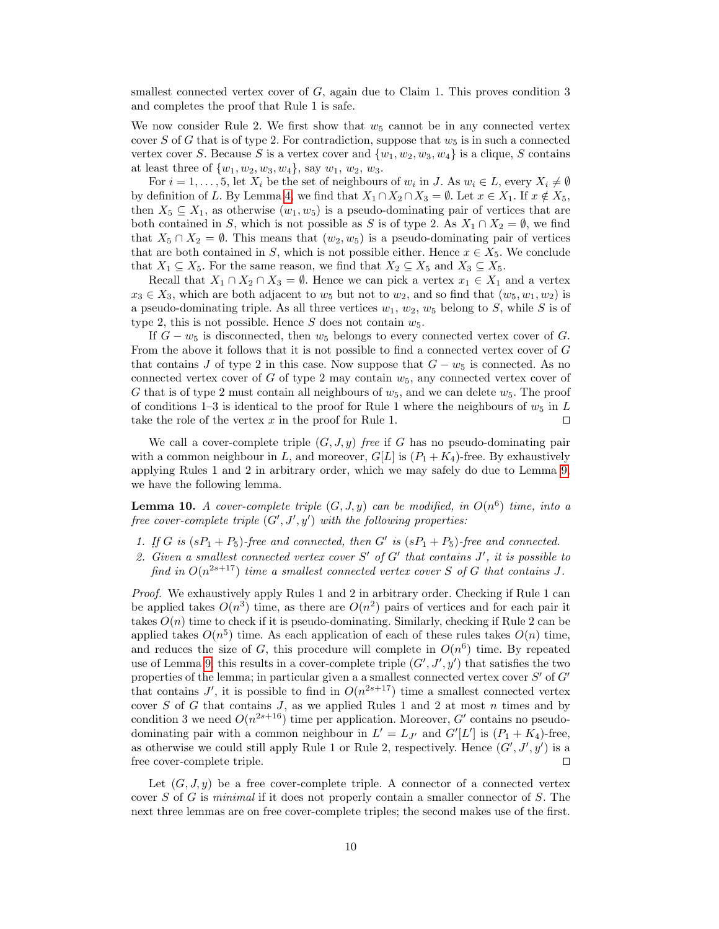smallest connected vertex cover of  $G$ , again due to Claim 1. This proves condition 3 and completes the proof that Rule 1 is safe.

We now consider Rule 2. We first show that  $w_5$  cannot be in any connected vertex cover S of G that is of type 2. For contradiction, suppose that  $w_5$  is in such a connected vertex cover S. Because S is a vertex cover and  $\{w_1, w_2, w_3, w_4\}$  is a clique, S contains at least three of  $\{w_1, w_2, w_3, w_4\}$ , say  $w_1, w_2, w_3$ .

For  $i = 1, \ldots, 5$ , let  $X_i$  be the set of neighbours of  $w_i$  in J. As  $w_i \in L$ , every  $X_i \neq \emptyset$ by definition of L. By Lemma [4,](#page-6-0) we find that  $X_1 \cap X_2 \cap X_3 = \emptyset$ . Let  $x \in X_1$ . If  $x \notin X_5$ , then  $X_5 \subseteq X_1$ , as otherwise  $(w_1, w_5)$  is a pseudo-dominating pair of vertices that are both contained in S, which is not possible as S is of type 2. As  $X_1 \cap X_2 = \emptyset$ , we find that  $X_5 \cap X_2 = \emptyset$ . This means that  $(w_2, w_5)$  is a pseudo-dominating pair of vertices that are both contained in S, which is not possible either. Hence  $x \in X_5$ . We conclude that  $X_1 \subseteq X_5$ . For the same reason, we find that  $X_2 \subseteq X_5$  and  $X_3 \subseteq X_5$ .

Recall that  $X_1 \cap X_2 \cap X_3 = \emptyset$ . Hence we can pick a vertex  $x_1 \in X_1$  and a vertex  $x_3 \in X_3$ , which are both adjacent to  $w_5$  but not to  $w_2$ , and so find that  $(w_5, w_1, w_2)$  is a pseudo-dominating triple. As all three vertices  $w_1, w_2, w_5$  belong to S, while S is of type 2, this is not possible. Hence  $S$  does not contain  $w_5$ .

If  $G - w_5$  is disconnected, then  $w_5$  belongs to every connected vertex cover of G. From the above it follows that it is not possible to find a connected vertex cover of  $G$ that contains J of type 2 in this case. Now suppose that  $G - w_5$  is connected. As no connected vertex cover of G of type 2 may contain  $w_5$ , any connected vertex cover of G that is of type 2 must contain all neighbours of  $w_5$ , and we can delete  $w_5$ . The proof of conditions 1–3 is identical to the proof for Rule 1 where the neighbours of  $w_5$  in L take the role of the vertex x in the proof for Rule 1.  $\Box$ 

We call a cover-complete triple  $(G, J, y)$  free if G has no pseudo-dominating pair with a common neighbour in L, and moreover,  $G[L]$  is  $(P_1 + K_4)$ -free. By exhaustively applying Rules 1 and 2 in arbitrary order, which we may safely do due to Lemma [9,](#page-9-0) we have the following lemma.

<span id="page-10-1"></span>**Lemma 10.** A cover-complete triple  $(G, J, y)$  can be modified, in  $O(n^6)$  time, into a free cover-complete triple  $(G', J', y')$  with the following properties:

- 1. If G is  $(sP_1 + P_5)$ -free and connected, then G' is  $(sP_1 + P_5)$ -free and connected.
- 2. Given a smallest connected vertex cover  $S'$  of  $G'$  that contains  $J'$ , it is possible to find in  $O(n^{2s+17})$  time a smallest connected vertex cover S of G that contains J.

Proof. We exhaustively apply Rules 1 and 2 in arbitrary order. Checking if Rule 1 can be applied takes  $O(n^3)$  time, as there are  $O(n^2)$  pairs of vertices and for each pair it takes  $O(n)$  time to check if it is pseudo-dominating. Similarly, checking if Rule 2 can be applied takes  $O(n^5)$  time. As each application of each of these rules takes  $O(n)$  time, and reduces the size of G, this procedure will complete in  $O(n^6)$  time. By repeated use of Lemma [9,](#page-9-0) this results in a cover-complete triple  $(G', J', y')$  that satisfies the two properties of the lemma; in particular given a a smallest connected vertex cover  $S'$  of  $G'$ that contains J', it is possible to find in  $O(n^{2s+17})$  time a smallest connected vertex cover S of G that contains J, as we applied Rules 1 and 2 at most  $n$  times and by condition 3 we need  $O(n^{2s+16})$  time per application. Moreover, G' contains no pseudodominating pair with a common neighbour in  $L' = L_{J'}$  and  $G'[L']$  is  $(P_1 + K_4)$ -free, as otherwise we could still apply Rule 1 or Rule 2, respectively. Hence  $(G', J', y')$  is a free cover-complete triple.  $\Box$ 

<span id="page-10-0"></span>Let  $(G, J, y)$  be a free cover-complete triple. A connector of a connected vertex cover  $S$  of  $G$  is minimal if it does not properly contain a smaller connector of  $S$ . The next three lemmas are on free cover-complete triples; the second makes use of the first.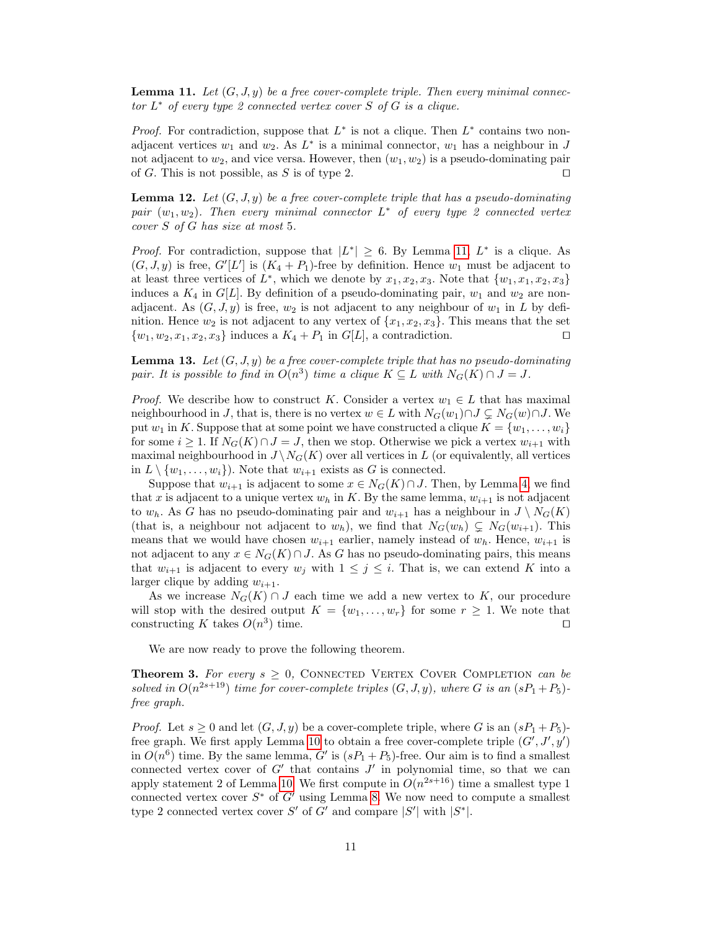**Lemma 11.** Let  $(G, J, y)$  be a free cover-complete triple. Then every minimal connec $tor L^*$  of every type 2 connected vertex cover S of G is a clique.

*Proof.* For contradiction, suppose that  $L^*$  is not a clique. Then  $L^*$  contains two nonadjacent vertices  $w_1$  and  $w_2$ . As  $L^*$  is a minimal connector,  $w_1$  has a neighbour in J not adjacent to  $w_2$ , and vice versa. However, then  $(w_1, w_2)$  is a pseudo-dominating pair of G. This is not possible, as S is of type 2.  $\Box$ 

<span id="page-11-0"></span>**Lemma 12.** Let  $(G, J, y)$  be a free cover-complete triple that has a pseudo-dominating pair  $(w_1, w_2)$ . Then every minimal connector  $L^*$  of every type 2 connected vertex cover S of G has size at most 5.

*Proof.* For contradiction, suppose that  $|L^*| \geq 6$ . By Lemma [11,](#page-10-0)  $L^*$  is a clique. As  $(G, J, y)$  is free,  $G'[L']$  is  $(K_4 + P_1)$ -free by definition. Hence  $w_1$  must be adjacent to at least three vertices of  $L^*$ , which we denote by  $x_1, x_2, x_3$ . Note that  $\{w_1, x_1, x_2, x_3\}$ induces a  $K_4$  in  $G[L]$ . By definition of a pseudo-dominating pair,  $w_1$  and  $w_2$  are nonadjacent. As  $(G, J, y)$  is free,  $w_2$  is not adjacent to any neighbour of  $w_1$  in L by definition. Hence  $w_2$  is not adjacent to any vertex of  $\{x_1, x_2, x_3\}$ . This means that the set  $\{w_1, w_2, x_1, x_2, x_3\}$  induces a  $K_4 + P_1$  in  $G[L]$ , a contradiction.

<span id="page-11-1"></span>**Lemma 13.** Let  $(G, J, y)$  be a free cover-complete triple that has no pseudo-dominating pair. It is possible to find in  $O(n^3)$  time a clique  $K \subseteq L$  with  $N_G(K) \cap J = J$ .

*Proof.* We describe how to construct K. Consider a vertex  $w_1 \in L$  that has maximal neighbourhood in J, that is, there is no vertex  $w \in L$  with  $N_G(w_1) \cap J \subsetneq N_G(w) \cap J$ . We put  $w_1$  in K. Suppose that at some point we have constructed a clique  $K = \{w_1, \ldots, w_i\}$ for some  $i \geq 1$ . If  $N_G(K) \cap J = J$ , then we stop. Otherwise we pick a vertex  $w_{i+1}$  with maximal neighbourhood in  $J \setminus N_G(K)$  over all vertices in L (or equivalently, all vertices in  $L \setminus \{w_1, \ldots, w_i\}$ . Note that  $w_{i+1}$  exists as G is connected.

Suppose that  $w_{i+1}$  is adjacent to some  $x \in N_G(K) \cap J$ . Then, by Lemma [4,](#page-6-0) we find that x is adjacent to a unique vertex  $w_h$  in K. By the same lemma,  $w_{i+1}$  is not adjacent to  $w_h$ . As G has no pseudo-dominating pair and  $w_{i+1}$  has a neighbour in  $J \setminus N_G(K)$ (that is, a neighbour not adjacent to  $w_h$ ), we find that  $N_G(w_h) \subsetneq N_G(w_{i+1})$ . This means that we would have chosen  $w_{i+1}$  earlier, namely instead of  $w_h$ . Hence,  $w_{i+1}$  is not adjacent to any  $x \in N_G(K) \cap J$ . As G has no pseudo-dominating pairs, this means that  $w_{i+1}$  is adjacent to every  $w_i$  with  $1 \leq j \leq i$ . That is, we can extend K into a larger clique by adding  $w_{i+1}$ .

As we increase  $N_G(K) \cap J$  each time we add a new vertex to K, our procedure will stop with the desired output  $K = \{w_1, \ldots, w_r\}$  for some  $r \geq 1$ . We note that constructing K takes  $O(n^3)$  time.

We are now ready to prove the following theorem.

<span id="page-11-2"></span>**Theorem 3.** For every  $s > 0$ , CONNECTED VERTEX COVER COMPLETION can be solved in  $O(n^{2s+19})$  time for cover-complete triples  $(G, J, y)$ , where G is an  $(sP_1 + P_5)$ free graph.

*Proof.* Let  $s \geq 0$  and let  $(G, J, y)$  be a cover-complete triple, where G is an  $(sP_1 + P_5)$ -free graph. We first apply Lemma [10](#page-10-1) to obtain a free cover-complete triple  $(G', J', y')$ in  $O(n^6)$  time. By the same lemma, G' is  $(sP_1 + P_5)$ -free. Our aim is to find a smallest connected vertex cover of  $G'$  that contains  $J'$  in polynomial time, so that we can apply statement 2 of Lemma [10.](#page-10-1) We first compute in  $O(n^{2s+16})$  time a smallest type 1 connected vertex cover  $S^*$  of  $G'$  using Lemma [8.](#page-8-0) We now need to compute a smallest type 2 connected vertex cover S' of G' and compare  $|S'|$  with  $|S^*|$ .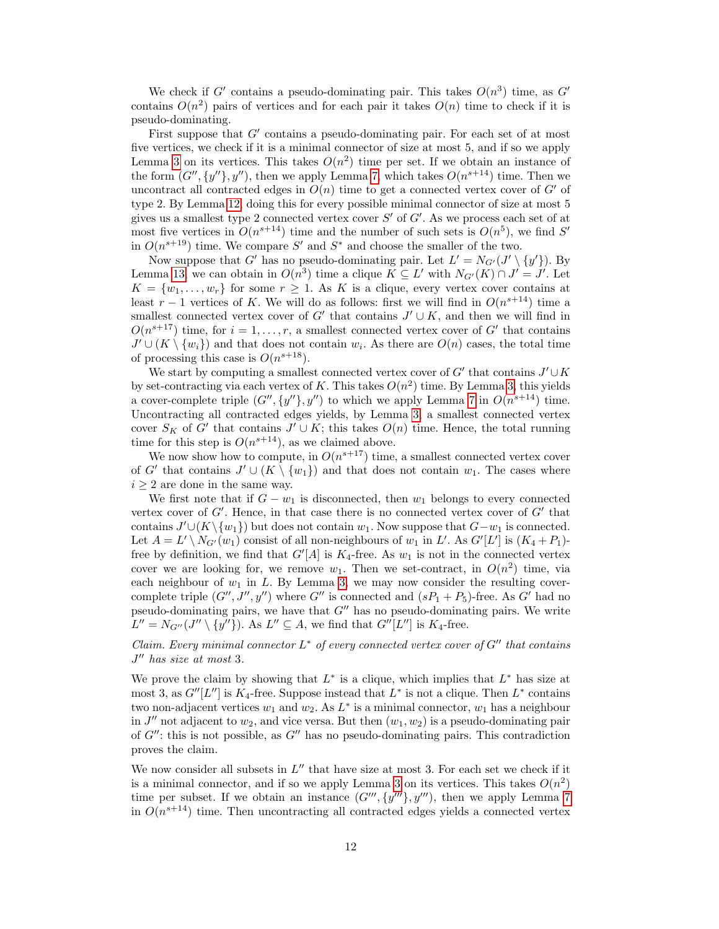We check if G' contains a pseudo-dominating pair. This takes  $O(n^3)$  time, as G' contains  $O(n^2)$  pairs of vertices and for each pair it takes  $O(n)$  time to check if it is pseudo-dominating.

First suppose that  $G'$  contains a pseudo-dominating pair. For each set of at most five vertices, we check if it is a minimal connector of size at most 5, and if so we apply Lemma [3](#page-5-2) on its vertices. This takes  $O(n^2)$  time per set. If we obtain an instance of the form  $(G'', \{y''\}, y'')$ , then we apply Lemma [7,](#page-8-1) which takes  $O(n^{s+14})$  time. Then we uncontract all contracted edges in  $O(n)$  time to get a connected vertex cover of  $G'$  of type 2. By Lemma [12,](#page-11-0) doing this for every possible minimal connector of size at most 5 gives us a smallest type 2 connected vertex cover  $S'$  of  $G'$ . As we process each set of at most five vertices in  $O(n^{s+14})$  time and the number of such sets is  $O(n^5)$ , we find S' in  $O(n^{s+19})$  time. We compare S' and S<sup>\*</sup> and choose the smaller of the two.

Now suppose that G' has no pseudo-dominating pair. Let  $L' = N_{G'}(J' \setminus \{y'\})$ . By Lemma [13,](#page-11-1) we can obtain in  $O(n^3)$  time a clique  $K \subseteq L'$  with  $N_{G'}(K) \cap J' = J'$ . Let  $K = \{w_1, \ldots, w_r\}$  for some  $r \geq 1$ . As K is a clique, every vertex cover contains at least  $r-1$  vertices of K. We will do as follows: first we will find in  $O(n^{s+14})$  time a smallest connected vertex cover of G' that contains  $J' \cup K$ , and then we will find in  $O(n^{s+17})$  time, for  $i = 1, ..., r$ , a smallest connected vertex cover of G' that contains  $J' \cup (K \setminus \{w_i\})$  and that does not contain  $w_i$ . As there are  $O(n)$  cases, the total time of processing this case is  $O(n^{s+18})$ .

We start by computing a smallest connected vertex cover of  $G'$  that contains  $J' \cup K$ by set-contracting via each vertex of K. This takes  $O(n^2)$  time. By Lemma [3,](#page-5-2) this yields a cover-complete triple  $(G'', \{y''\}, y'')$  to which we apply Lemma [7](#page-8-1) in  $O(n^{s+14})$  time. Uncontracting all contracted edges yields, by Lemma [3,](#page-5-2) a smallest connected vertex cover  $S_K$  of G' that contains  $J' \cup K$ ; this takes  $O(n)$  time. Hence, the total running time for this step is  $O(n^{s+14})$ , as we claimed above.

We now show how to compute, in  $O(n^{s+17})$  time, a smallest connected vertex cover of G' that contains  $J' \cup (K \setminus \{w_1\})$  and that does not contain  $w_1$ . The cases where  $i \geq 2$  are done in the same way.

We first note that if  $G - w_1$  is disconnected, then  $w_1$  belongs to every connected vertex cover of  $G'$ . Hence, in that case there is no connected vertex cover of  $G'$  that contains  $J' \cup (K \setminus \{w_1\})$  but does not contain  $w_1$ . Now suppose that  $G-w_1$  is connected. Let  $A = L' \setminus N_{G'}(w_1)$  consist of all non-neighbours of  $w_1$  in L'. As  $G'[L']$  is  $(K_4 + P_1)$ free by definition, we find that  $G'[A]$  is  $K_4$ -free. As  $w_1$  is not in the connected vertex cover we are looking for, we remove  $w_1$ . Then we set-contract, in  $O(n^2)$  time, via each neighbour of  $w_1$  in  $L$ . By Lemma [3,](#page-5-2) we may now consider the resulting covercomplete triple  $(G'', J'', y'')$  where  $G''$  is connected and  $(sP_1 + P_5)$ -free. As  $G'$  had no pseudo-dominating pairs, we have that  $G''$  has no pseudo-dominating pairs. We write  $L'' = N_{G''}(J'' \setminus \{y''\})$ . As  $L'' \subseteq A$ , we find that  $G''[L'']$  is  $K_4$ -free.

## Claim. Every minimal connector  $L^*$  of every connected vertex cover of  $G''$  that contains  $J''$  has size at most 3.

We prove the claim by showing that  $L^*$  is a clique, which implies that  $L^*$  has size at most 3, as  $G''[L'']$  is  $K_4$ -free. Suppose instead that  $L^*$  is not a clique. Then  $L^*$  contains two non-adjacent vertices  $w_1$  and  $w_2$ . As  $L^*$  is a minimal connector,  $w_1$  has a neighbour in  $J''$  not adjacent to  $w_2$ , and vice versa. But then  $(w_1, w_2)$  is a pseudo-dominating pair of  $G''$ : this is not possible, as  $G''$  has no pseudo-dominating pairs. This contradiction proves the claim.

We now consider all subsets in  $L''$  that have size at most 3. For each set we check if it is a minimal connector, and if so we apply Lemma [3](#page-5-2) on its vertices. This takes  $O(n^2)$ time per subset. If we obtain an instance  $(G''', \{y''\}, y''')$ , then we apply Lemma [7](#page-8-1) in  $O(n^{s+14})$  time. Then uncontracting all contracted edges yields a connected vertex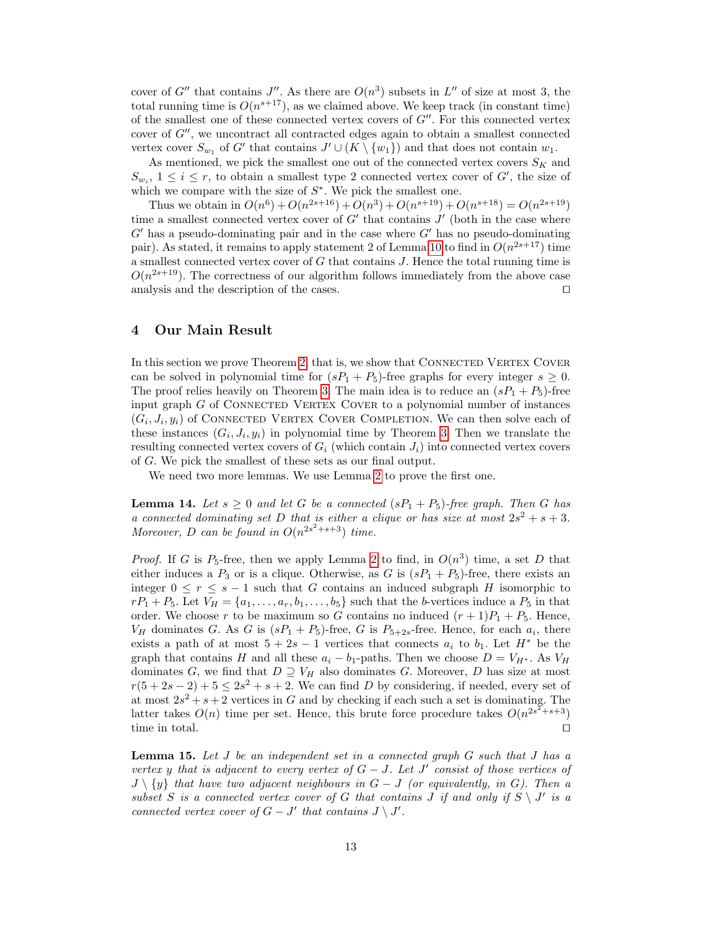cover of G'' that contains J''. As there are  $O(n^3)$  subsets in L'' of size at most 3, the total running time is  $O(n^{s+17})$ , as we claimed above. We keep track (in constant time) of the smallest one of these connected vertex covers of  $G''$ . For this connected vertex cover of  $G''$ , we uncontract all contracted edges again to obtain a smallest connected vertex cover  $S_{w_1}$  of G' that contains  $J' \cup (K \setminus \{w_1\})$  and that does not contain  $w_1$ .

As mentioned, we pick the smallest one out of the connected vertex covers  $S_K$  and  $S_{w_i}$ ,  $1 \leq i \leq r$ , to obtain a smallest type 2 connected vertex cover of G', the size of which we compare with the size of  $S^*$ . We pick the smallest one.

Thus we obtain in  $O(n^6) + O(n^{2s+16}) + O(n^3) + O(n^{s+19}) + O(n^{s+18}) = O(n^{2s+19})$ time a smallest connected vertex cover of  $G'$  that contains  $J'$  (both in the case where  $G'$  has a pseudo-dominating pair and in the case where  $G'$  has no pseudo-dominating pair). As stated, it remains to apply statement 2 of Lemma [10](#page-10-1) to find in  $O(n^{2s+17})$  time a smallest connected vertex cover of  $G$  that contains  $J$ . Hence the total running time is  $O(n^{2s+19})$ . The correctness of our algorithm follows immediately from the above case analysis and the description of the cases.  $\hfill \Box$ 

### <span id="page-13-0"></span>4 Our Main Result

In this section we prove Theorem [2,](#page-2-0) that is, we show that CONNECTED VERTEX COVER can be solved in polynomial time for  $(sP_1 + P_5)$ -free graphs for every integer  $s \geq 0$ . The proof relies heavily on Theorem [3.](#page-11-2) The main idea is to reduce an  $(sP_1 + P_5)$ -free input graph  $G$  of CONNECTED VERTEX COVER to a polynomial number of instances  $(G_i, J_i, y_i)$  of CONNECTED VERTEX COVER COMPLETION. We can then solve each of these instances  $(G_i, J_i, y_i)$  in polynomial time by Theorem [3.](#page-11-2) Then we translate the resulting connected vertex covers of  $G_i$  (which contain  $J_i$ ) into connected vertex covers of G. We pick the smallest of these sets as our final output.

We need two more lemmas. We use Lemma [2](#page-4-1) to prove the first one.

<span id="page-13-1"></span>**Lemma 14.** Let  $s \geq 0$  and let G be a connected  $(sP_1 + P_5)$ -free graph. Then G has a connected dominating set D that is either a clique or has size at most  $2s^2 + s + 3$ . Moreover, D can be found in  $O(n^{2s^2+s+3})$  time.

*Proof.* If G is  $P_5$ -free, then we apply Lemma [2](#page-4-1) to find, in  $O(n^3)$  time, a set D that either induces a  $P_3$  or is a clique. Otherwise, as G is  $(sP_1 + P_5)$ -free, there exists an integer  $0 \le r \le s - 1$  such that G contains an induced subgraph H isomorphic to  $rP_1 + P_5$ . Let  $V_H = \{a_1, \ldots, a_r, b_1, \ldots, b_5\}$  such that the b-vertices induce a  $P_5$  in that order. We choose r to be maximum so G contains no induced  $(r + 1)P_1 + P_5$ . Hence,  $V_H$  dominates G. As G is  $(sP_1 + P_5)$ -free, G is  $P_{5+2s}$ -free. Hence, for each  $a_i$ , there exists a path of at most  $5 + 2s - 1$  vertices that connects  $a_i$  to  $b_1$ . Let  $H^*$  be the graph that contains H and all these  $a_i - b_1$ -paths. Then we choose  $D = V_{H^*}$ . As  $V_H$ dominates G, we find that  $D \supseteq V_H$  also dominates G. Moreover, D has size at most  $r(5+2s-2)+5 \leq 2s^2+s+2$ . We can find D by considering, if needed, every set of at most  $2s^2 + s + 2$  vertices in G and by checking if each such a set is dominating. The latter takes  $O(n)$  time per set. Hence, this brute force procedure takes  $O(n^{2s^2+s+3})$ time in total.  $\Box$ 

<span id="page-13-2"></span>**Lemma 15.** Let  $J$  be an independent set in a connected graph  $G$  such that  $J$  has a vertex y that is adjacent to every vertex of  $G-J$ . Let  $J'$  consist of those vertices of  $J \setminus \{y\}$  that have two adjacent neighbours in  $G - J$  (or equivalently, in G). Then a subset S is a connected vertex cover of G that contains J if and only if  $S \setminus J'$  is a connected vertex cover of  $G - J'$  that contains  $J \setminus J'$ .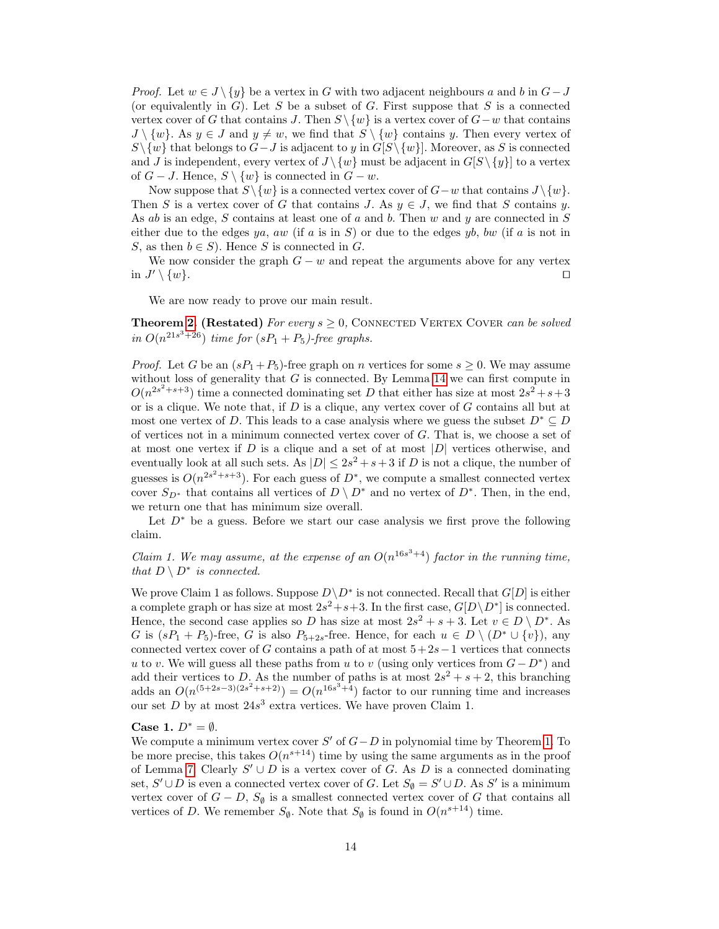*Proof.* Let  $w \in J \setminus \{y\}$  be a vertex in G with two adjacent neighbours a and b in  $G - J$ (or equivalently in  $G$ ). Let S be a subset of G. First suppose that S is a connected vertex cover of G that contains J. Then  $S \ \{w\}$  is a vertex cover of  $G-w$  that contains  $J \setminus \{w\}$ . As  $y \in J$  and  $y \neq w$ , we find that  $S \setminus \{w\}$  contains y. Then every vertex of  $S\setminus\{w\}$  that belongs to  $G-J$  is adjacent to y in  $G[S\setminus\{w\}]$ . Moreover, as S is connected and J is independent, every vertex of  $J \setminus \{w\}$  must be adjacent in  $G[S \setminus \{y\}]$  to a vertex of  $G - J$ . Hence,  $S \setminus \{w\}$  is connected in  $G - w$ .

Now suppose that  $S\backslash \{w\}$  is a connected vertex cover of  $G-w$  that contains  $J\backslash \{w\}$ . Then S is a vertex cover of G that contains J. As  $y \in J$ , we find that S contains y. As ab is an edge,  $S$  contains at least one of  $a$  and  $b$ . Then  $w$  and  $y$  are connected in  $S$ either due to the edges ya, aw (if a is in S) or due to the edges yb, bw (if a is not in S, as then  $b \in S$ ). Hence S is connected in G.

We now consider the graph  $G - w$  and repeat the arguments above for any vertex in  $J' \setminus \{w\}.$  $\setminus \{w\}.$ 

We are now ready to prove our main result.

**Theorem [2.](#page-2-0) (Restated)** For every  $s \geq 0$ , CONNECTED VERTEX COVER can be solved in  $O(n^{21s^3+26})$  time for  $(sP_1 + P_5)$ -free graphs.

*Proof.* Let G be an  $(sP_1 + P_5)$ -free graph on n vertices for some  $s > 0$ . We may assume without loss of generality that  $G$  is connected. By Lemma [14](#page-13-1) we can first compute in  $O(n^{2s^2+s+3})$  time a connected dominating set D that either has size at most  $2s^2+s+3$ or is a clique. We note that, if  $D$  is a clique, any vertex cover of  $G$  contains all but at most one vertex of D. This leads to a case analysis where we guess the subset  $D^* \subseteq D$ of vertices not in a minimum connected vertex cover of  $G$ . That is, we choose a set of at most one vertex if  $D$  is a clique and a set of at most  $|D|$  vertices otherwise, and eventually look at all such sets. As  $|D| \leq 2s^2 + s + 3$  if D is not a clique, the number of guesses is  $O(n^{2s^2+s+3})$ . For each guess of  $D^*$ , we compute a smallest connected vertex cover  $S_{D^*}$  that contains all vertices of  $D \setminus D^*$  and no vertex of  $D^*$ . Then, in the end, we return one that has minimum size overall.

Let  $D^*$  be a guess. Before we start our case analysis we first prove the following claim.

Claim 1. We may assume, at the expense of an  $O(n^{16s^3+4})$  factor in the running time, that  $D \setminus D^*$  is connected.

We prove Claim 1 as follows. Suppose  $D \backslash D^*$  is not connected. Recall that  $G[D]$  is either a complete graph or has size at most  $2s^2+s+3$ . In the first case,  $G[D\setminus D^*]$  is connected. Hence, the second case applies so D has size at most  $2s^2 + s + 3$ . Let  $v \in D \setminus D^*$ . As G is  $(sP_1 + P_5)$ -free, G is also  $P_{5+2s}$ -free. Hence, for each  $u \in D \setminus (D^* \cup \{v\})$ , any connected vertex cover of G contains a path of at most  $5+2s-1$  vertices that connects u to v. We will guess all these paths from u to v (using only vertices from  $G - D^*$ ) and add their vertices to D. As the number of paths is at most  $2s^2 + s + 2$ , this branching adds an  $O(n^{(5+2s-3)(2s^2+s+2)}) = O(n^{16s^3+4})$  factor to our running time and increases our set  $D$  by at most  $24s^3$  extra vertices. We have proven Claim 1.

#### Case 1.  $D^* = \emptyset$ .

We compute a minimum vertex cover  $S'$  of  $G-D$  in polynomial time by Theorem [1.](#page-2-1) To be more precise, this takes  $O(n^{s+14})$  time by using the same arguments as in the proof of Lemma [7.](#page-8-1) Clearly  $S' \cup D$  is a vertex cover of G. As D is a connected dominating set,  $S' \cup D$  is even a connected vertex cover of G. Let  $S_{\emptyset} = S' \cup D$ . As S' is a minimum vertex cover of  $G - D$ ,  $S_{\emptyset}$  is a smallest connected vertex cover of G that contains all vertices of D. We remember  $S_{\emptyset}$ . Note that  $S_{\emptyset}$  is found in  $O(n^{s+14})$  time.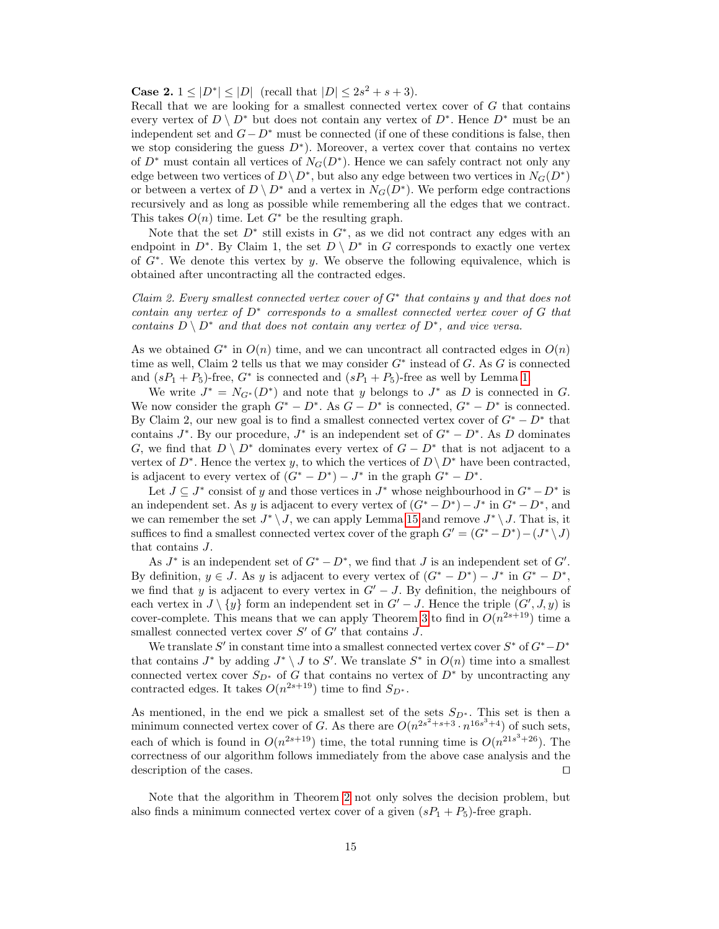**Case 2.**  $1 \leq |D^*| \leq |D|$  (recall that  $|D| \leq 2s^2 + s + 3$ ).

Recall that we are looking for a smallest connected vertex cover of  $G$  that contains every vertex of  $D \setminus D^*$  but does not contain any vertex of  $D^*$ . Hence  $D^*$  must be an independent set and  $G - D^*$  must be connected (if one of these conditions is false, then we stop considering the guess  $D^*$ ). Moreover, a vertex cover that contains no vertex of  $D^*$  must contain all vertices of  $N_G(D^*)$ . Hence we can safely contract not only any edge between two vertices of  $D \backslash D^*$ , but also any edge between two vertices in  $N_G(D^*)$ or between a vertex of  $D \setminus D^*$  and a vertex in  $N_G(D^*)$ . We perform edge contractions recursively and as long as possible while remembering all the edges that we contract. This takes  $O(n)$  time. Let  $G^*$  be the resulting graph.

Note that the set  $D^*$  still exists in  $G^*$ , as we did not contract any edges with an endpoint in  $D^*$ . By Claim 1, the set  $D \setminus D^*$  in G corresponds to exactly one vertex of  $G^*$ . We denote this vertex by y. We observe the following equivalence, which is obtained after uncontracting all the contracted edges.

Claim 2. Every smallest connected vertex cover of  $G^*$  that contains y and that does not contain any vertex of  $D^*$  corresponds to a smallest connected vertex cover of  $G$  that contains  $D \setminus D^*$  and that does not contain any vertex of  $D^*$ , and vice versa.

As we obtained  $G^*$  in  $O(n)$  time, and we can uncontract all contracted edges in  $O(n)$ time as well, Claim 2 tells us that we may consider  $G^*$  instead of G. As G is connected and  $(sP_1 + P_5)$ -free,  $G^*$  is connected and  $(sP_1 + P_5)$ -free as well by Lemma [1.](#page-4-0)

We write  $J^* = N_{G^*}(D^*)$  and note that y belongs to  $J^*$  as D is connected in G. We now consider the graph  $G^* - D^*$ . As  $G - D^*$  is connected,  $G^* - D^*$  is connected. By Claim 2, our new goal is to find a smallest connected vertex cover of  $G^* - D^*$  that contains  $J^*$ . By our procedure,  $J^*$  is an independent set of  $G^* - D^*$ . As D dominates G, we find that  $D \setminus D^*$  dominates every vertex of  $G - D^*$  that is not adjacent to a vertex of  $D^*$ . Hence the vertex y, to which the vertices of  $D \setminus D^*$  have been contracted, is adjacent to every vertex of  $(G^* - D^*) - J^*$  in the graph  $G^* - D^*$ .

Let  $J \subseteq J^*$  consist of y and those vertices in  $J^*$  whose neighbourhood in  $G^* - D^*$  is an independent set. As y is adjacent to every vertex of  $(G^* - D^*) - J^*$  in  $G^* - D^*$ , and we can remember the set  $J^* \setminus J$ , we can apply Lemma [15](#page-13-2) and remove  $J^* \setminus J$ . That is, it suffices to find a smallest connected vertex cover of the graph  $G' = (G^* - D^*) - (J^* \setminus J)$ that contains J.

As  $J^*$  is an independent set of  $G^* - D^*$ , we find that  $J$  is an independent set of  $G'$ . By definition,  $y \in J$ . As y is adjacent to every vertex of  $(G^* - D^*) - J^*$  in  $G^* - D^*$ , we find that y is adjacent to every vertex in  $G' - J$ . By definition, the neighbours of each vertex in  $J \setminus \{y\}$  form an independent set in  $G' - J$ . Hence the triple  $(G', J, y)$  is cover-complete. This means that we can apply Theorem [3](#page-11-2) to find in  $O(n^{2s+19})$  time a smallest connected vertex cover  $S'$  of  $G'$  that contains  $J$ .

We translate  $S'$  in constant time into a smallest connected vertex cover  $S^*$  of  $G^*$  –  $D^*$ that contains  $J^*$  by adding  $J^* \setminus J$  to  $S'$ . We translate  $S^*$  in  $O(n)$  time into a smallest connected vertex cover  $S_{D^*}$  of G that contains no vertex of  $D^*$  by uncontracting any contracted edges. It takes  $O(n^{2s+19})$  time to find  $S_{D^*}$ .

As mentioned, in the end we pick a smallest set of the sets  $S_{D^*}$ . This set is then a minimum connected vertex cover of G. As there are  $O(n^{2s^2+s+3} \cdot n^{16s^3+4})$  of such sets, each of which is found in  $O(n^{2s+19})$  time, the total running time is  $O(n^{21s^3+26})$ . The correctness of our algorithm follows immediately from the above case analysis and the description of the cases.  $\Box$ 

Note that the algorithm in Theorem [2](#page-2-0) not only solves the decision problem, but also finds a minimum connected vertex cover of a given  $(sP_1 + P_5)$ -free graph.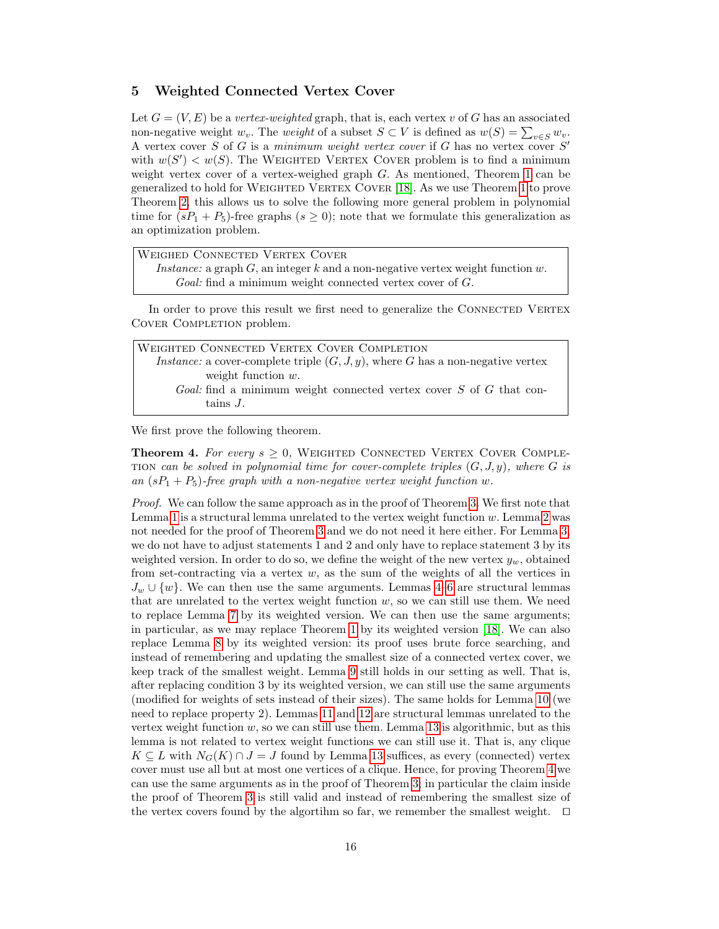### <span id="page-16-0"></span>5 Weighted Connected Vertex Cover

Let  $G = (V, E)$  be a vertex-weighted graph, that is, each vertex v of G has an associated non-negative weight  $w_v$ . The *weight* of a subset  $S \subset V$  is defined as  $w(S) = \sum_{v \in S} w_v$ . A vertex cover S of G is a minimum weight vertex cover if G has no vertex cover  $S'$ with  $w(S') < w(S)$ . The WEIGHTED VERTEX COVER problem is to find a minimum weight vertex cover of a vertex-weighed graph  $G$ . As mentioned, Theorem [1](#page-2-1) can be generalized to hold for Weighted Vertex Cover [\[18\]](#page-18-12). As we use Theorem [1](#page-2-1) to prove Theorem [2,](#page-2-0) this allows us to solve the following more general problem in polynomial time for  $(sP_1 + P_5)$ -free graphs  $(s \geq 0)$ ; note that we formulate this generalization as an optimization problem.

Weighed Connected Vertex Cover Instance: a graph  $G$ , an integer k and a non-negative vertex weight function w. Goal: find a minimum weight connected vertex cover of G.

In order to prove this result we first need to generalize the CONNECTED VERTEX COVER COMPLETION problem.

| WEIGHTED CONNECTED VERTEX COVER COMPLETION                                               |  |
|------------------------------------------------------------------------------------------|--|
| <i>Instance:</i> a cover-complete triple $(G, J, y)$ , where G has a non-negative vertex |  |
| weight function $w$ .                                                                    |  |
| <i>Goal:</i> find a minimum weight connected vertex cover S of G that con-               |  |
| tains J.                                                                                 |  |

<span id="page-16-1"></span>We first prove the following theorem.

**Theorem 4.** For every  $s \geq 0$ , WEIGHTED CONNECTED VERTEX COVER COMPLE-TION can be solved in polynomial time for cover-complete triples  $(G, J, y)$ , where G is an  $(sP_1 + P_5)$ -free graph with a non-negative vertex weight function w.

Proof. We can follow the same approach as in the proof of Theorem [3.](#page-11-2) We first note that Lemma [1](#page-4-0) is a structural lemma unrelated to the vertex weight function  $w$ . Lemma [2](#page-4-1) was not needed for the proof of Theorem [3](#page-11-2) and we do not need it here either. For Lemma [3,](#page-5-2) we do not have to adjust statements 1 and 2 and only have to replace statement 3 by its weighted version. In order to do so, we define the weight of the new vertex  $y_w$ , obtained from set-contracting via a vertex  $w$ , as the sum of the weights of all the vertices in  $J_w \cup \{w\}$ . We can then use the same arguments. Lemmas [4–](#page-6-0)[6](#page-7-2) are structural lemmas that are unrelated to the vertex weight function  $w$ , so we can still use them. We need to replace Lemma [7](#page-8-1) by its weighted version. We can then use the same arguments; in particular, as we may replace Theorem [1](#page-2-1) by its weighted version [\[18\]](#page-18-12). We can also replace Lemma [8](#page-8-0) by its weighted version: its proof uses brute force searching, and instead of remembering and updating the smallest size of a connected vertex cover, we keep track of the smallest weight. Lemma [9](#page-9-0) still holds in our setting as well. That is, after replacing condition 3 by its weighted version, we can still use the same arguments (modified for weights of sets instead of their sizes). The same holds for Lemma [10](#page-10-1) (we need to replace property 2). Lemmas [11](#page-10-0) and [12](#page-11-0) are structural lemmas unrelated to the vertex weight function  $w$ , so we can still use them. Lemma [13](#page-11-1) is algorithmic, but as this lemma is not related to vertex weight functions we can still use it. That is, any clique  $K \subseteq L$  with  $N_G(K) \cap J = J$  found by Lemma [13](#page-11-1) suffices, as every (connected) vertex cover must use all but at most one vertices of a clique. Hence, for proving Theorem [4](#page-16-1) we can use the same arguments as in the proof of Theorem [3;](#page-11-2) in particular the claim inside the proof of Theorem [3](#page-11-2) is still valid and instead of remembering the smallest size of the vertex covers found by the algortihm so far, we remember the smallest weight.  $\square$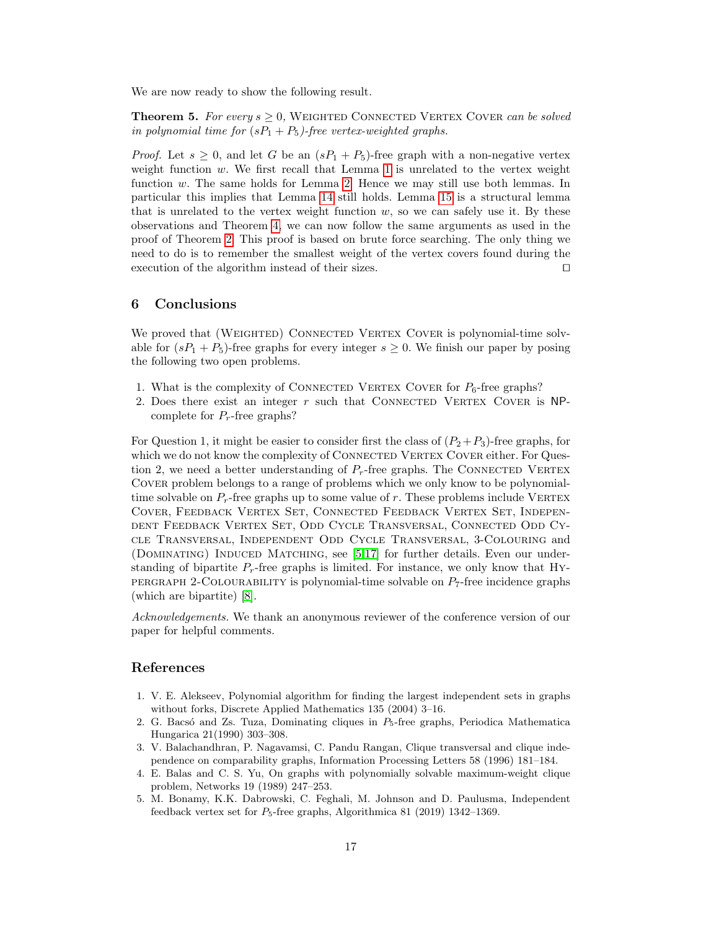We are now ready to show the following result.

**Theorem 5.** For every  $s \geq 0$ , WEIGHTED CONNECTED VERTEX COVER can be solved in polynomial time for  $(sP_1 + P_5)$ -free vertex-weighted graphs.

*Proof.* Let  $s \geq 0$ , and let G be an  $(sP_1 + P_5)$ -free graph with a non-negative vertex weight function  $w$ . We first recall that Lemma [1](#page-4-0) is unrelated to the vertex weight function  $w$ . The same holds for Lemma [2.](#page-4-1) Hence we may still use both lemmas. In particular this implies that Lemma [14](#page-13-1) still holds. Lemma [15](#page-13-2) is a structural lemma that is unrelated to the vertex weight function  $w$ , so we can safely use it. By these observations and Theorem [4,](#page-16-1) we can now follow the same arguments as used in the proof of Theorem [2.](#page-2-0) This proof is based on brute force searching. The only thing we need to do is to remember the smallest weight of the vertex covers found during the execution of the algorithm instead of their sizes.  $\Box$ 

### 6 Conclusions

We proved that (WEIGHTED) CONNECTED VERTEX COVER is polynomial-time solvable for  $(sP_1 + P_5)$ -free graphs for every integer  $s \geq 0$ . We finish our paper by posing the following two open problems.

- 1. What is the complexity of CONNECTED VERTEX COVER for  $P_6$ -free graphs?
- 2. Does there exist an integer  $r$  such that CONNECTED VERTEX COVER is NPcomplete for  $P_r$ -free graphs?

For Question 1, it might be easier to consider first the class of  $(P_2+P_3)$ -free graphs, for which we do not know the complexity of CONNECTED VERTEX COVER either. For Question 2, we need a better understanding of  $P_r$ -free graphs. The CONNECTED VERTEX Cover problem belongs to a range of problems which we only know to be polynomialtime solvable on  $P_r$ -free graphs up to some value of r. These problems include VERTEX Cover, Feedback Vertex Set, Connected Feedback Vertex Set, Independent Feedback Vertex Set, Odd Cycle Transversal, Connected Odd Cycle Transversal, Independent Odd Cycle Transversal, 3-Colouring and (DOMINATING) INDUCED MATCHING, see [\[5,](#page-17-4)[17\]](#page-18-25) for further details. Even our understanding of bipartite  $P<sub>r</sub>$ -free graphs is limited. For instance, we only know that Hy-PERGRAPH 2-COLOURABILITY is polynomial-time solvable on  $P_7$ -free incidence graphs (which are bipartite) [\[8\]](#page-18-24).

Acknowledgements. We thank an anonymous reviewer of the conference version of our paper for helpful comments.

#### References

- <span id="page-17-0"></span>1. V. E. Alekseev, Polynomial algorithm for finding the largest independent sets in graphs without forks, Discrete Applied Mathematics 135 (2004) 3–16.
- <span id="page-17-2"></span>2. G. Bacsó and Zs. Tuza, Dominating cliques in  $P_5$ -free graphs, Periodica Mathematica Hungarica 21(1990) 303–308.
- <span id="page-17-3"></span>3. V. Balachandhran, P. Nagavamsi, C. Pandu Rangan, Clique transversal and clique independence on comparability graphs, Information Processing Letters 58 (1996) 181–184.
- <span id="page-17-1"></span>4. E. Balas and C. S. Yu, On graphs with polynomially solvable maximum-weight clique problem, Networks 19 (1989) 247–253.
- <span id="page-17-4"></span>5. M. Bonamy, K.K. Dabrowski, C. Feghali, M. Johnson and D. Paulusma, Independent feedback vertex set for  $P_5$ -free graphs, Algorithmica 81 (2019) 1342–1369.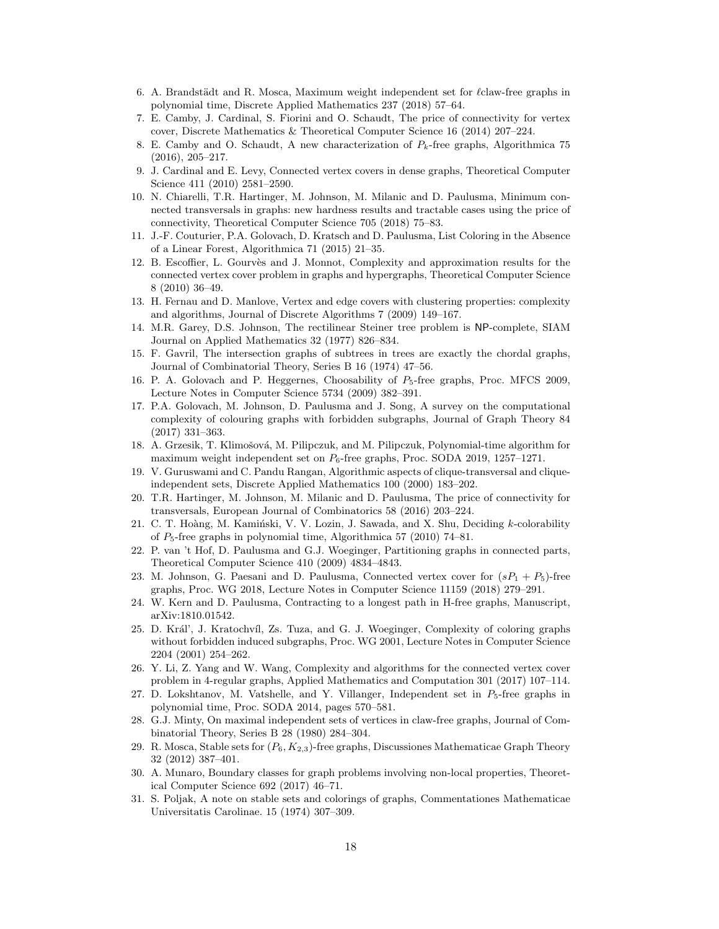- <span id="page-18-10"></span>6. A. Brandstädt and R. Mosca, Maximum weight independent set for  $\ell$ claw-free graphs in polynomial time, Discrete Applied Mathematics 237 (2018) 57–64.
- <span id="page-18-14"></span>7. E. Camby, J. Cardinal, S. Fiorini and O. Schaudt, The price of connectivity for vertex cover, Discrete Mathematics & Theoretical Computer Science 16 (2014) 207–224.
- <span id="page-18-24"></span>8. E. Camby and O. Schaudt, A new characterization of  $P_k$ -free graphs, Algorithmica 75 (2016), 205–217.
- <span id="page-18-15"></span>9. J. Cardinal and E. Levy, Connected vertex covers in dense graphs, Theoretical Computer Science 411 (2010) 2581–2590.
- <span id="page-18-7"></span>10. N. Chiarelli, T.R. Hartinger, M. Johnson, M. Milanic and D. Paulusma, Minimum connected transversals in graphs: new hardness results and tractable cases using the price of connectivity, Theoretical Computer Science 705 (2018) 75–83.
- <span id="page-18-19"></span>11. J.-F. Couturier, P.A. Golovach, D. Kratsch and D. Paulusma, List Coloring in the Absence of a Linear Forest, Algorithmica 71 (2015) 21–35.
- <span id="page-18-4"></span>12. B. Escoffier, L. Gourvès and J. Monnot, Complexity and approximation results for the connected vertex cover problem in graphs and hypergraphs, Theoretical Computer Science 8 (2010) 36–49.
- <span id="page-18-1"></span>13. H. Fernau and D. Manlove, Vertex and edge covers with clustering properties: complexity and algorithms, Journal of Discrete Algorithms 7 (2009) 149–167.
- <span id="page-18-0"></span>14. M.R. Garey, D.S. Johnson, The rectilinear Steiner tree problem is NP-complete, SIAM Journal on Applied Mathematics 32 (1977) 826–834.
- <span id="page-18-5"></span>15. F. Gavril, The intersection graphs of subtrees in trees are exactly the chordal graphs, Journal of Combinatorial Theory, Series B 16 (1974) 47–56.
- <span id="page-18-23"></span>16. P. A. Golovach and P. Heggernes, Choosability of  $P_5$ -free graphs, Proc. MFCS 2009, Lecture Notes in Computer Science 5734 (2009) 382–391.
- <span id="page-18-25"></span>17. P.A. Golovach, M. Johnson, D. Paulusma and J. Song, A survey on the computational complexity of colouring graphs with forbidden subgraphs, Journal of Graph Theory 84 (2017) 331–363.
- <span id="page-18-12"></span>18. A. Grzesik, T. Klimošová, M. Pilipczuk, and M. Pilipczuk, Polynomial-time algorithm for maximum weight independent set on  $P_6$ -free graphs, Proc. SODA 2019, 1257–1271.
- <span id="page-18-20"></span>19. V. Guruswami and C. Pandu Rangan, Algorithmic aspects of clique-transversal and cliqueindependent sets, Discrete Applied Mathematics 100 (2000) 183–202.
- <span id="page-18-16"></span>20. T.R. Hartinger, M. Johnson, M. Milanic and D. Paulusma, The price of connectivity for transversals, European Journal of Combinatorics 58 (2016) 203–224.
- <span id="page-18-18"></span>21. C. T. Hoàng, M. Kamiński, V. V. Lozin, J. Sawada, and X. Shu, Deciding  $k$ -colorability of  $P_5$ -free graphs in polynomial time, Algorithmica 57 (2010) 74–81.
- <span id="page-18-21"></span>22. P. van 't Hof, D. Paulusma and G.J. Woeginger, Partitioning graphs in connected parts, Theoretical Computer Science 410 (2009) 4834–4843.
- <span id="page-18-6"></span>23. M. Johnson, G. Paesani and D. Paulusma, Connected vertex cover for  $(sP_1 + P_5)$ -free graphs, Proc. WG 2018, Lecture Notes in Computer Science 11159 (2018) 279–291.
- <span id="page-18-22"></span>24. W. Kern and D. Paulusma, Contracting to a longest path in H-free graphs, Manuscript, arXiv:1810.01542.
- <span id="page-18-17"></span>25. D. Král', J. Kratochvíl, Zs. Tuza, and G. J. Woeginger, Complexity of coloring graphs without forbidden induced subgraphs, Proc. WG 2001, Lecture Notes in Computer Science 2204 (2001) 254–262.
- <span id="page-18-3"></span>26. Y. Li, Z. Yang and W. Wang, Complexity and algorithms for the connected vertex cover problem in 4-regular graphs, Applied Mathematics and Computation 301 (2017) 107–114.
- <span id="page-18-11"></span>27. D. Lokshtanov, M. Vatshelle, and Y. Villanger, Independent set in  $P_5$ -free graphs in polynomial time, Proc. SODA 2014, pages 570–581.
- <span id="page-18-9"></span>28. G.J. Minty, On maximal independent sets of vertices in claw-free graphs, Journal of Combinatorial Theory, Series B 28 (1980) 284–304.
- <span id="page-18-13"></span>29. R. Mosca, Stable sets for  $(P_6, K_{2,3})$ -free graphs, Discussiones Mathematicae Graph Theory 32 (2012) 387–401.
- <span id="page-18-2"></span>30. A. Munaro, Boundary classes for graph problems involving non-local properties, Theoretical Computer Science 692 (2017) 46–71.
- <span id="page-18-8"></span>31. S. Poljak, A note on stable sets and colorings of graphs, Commentationes Mathematicae Universitatis Carolinae. 15 (1974) 307–309.